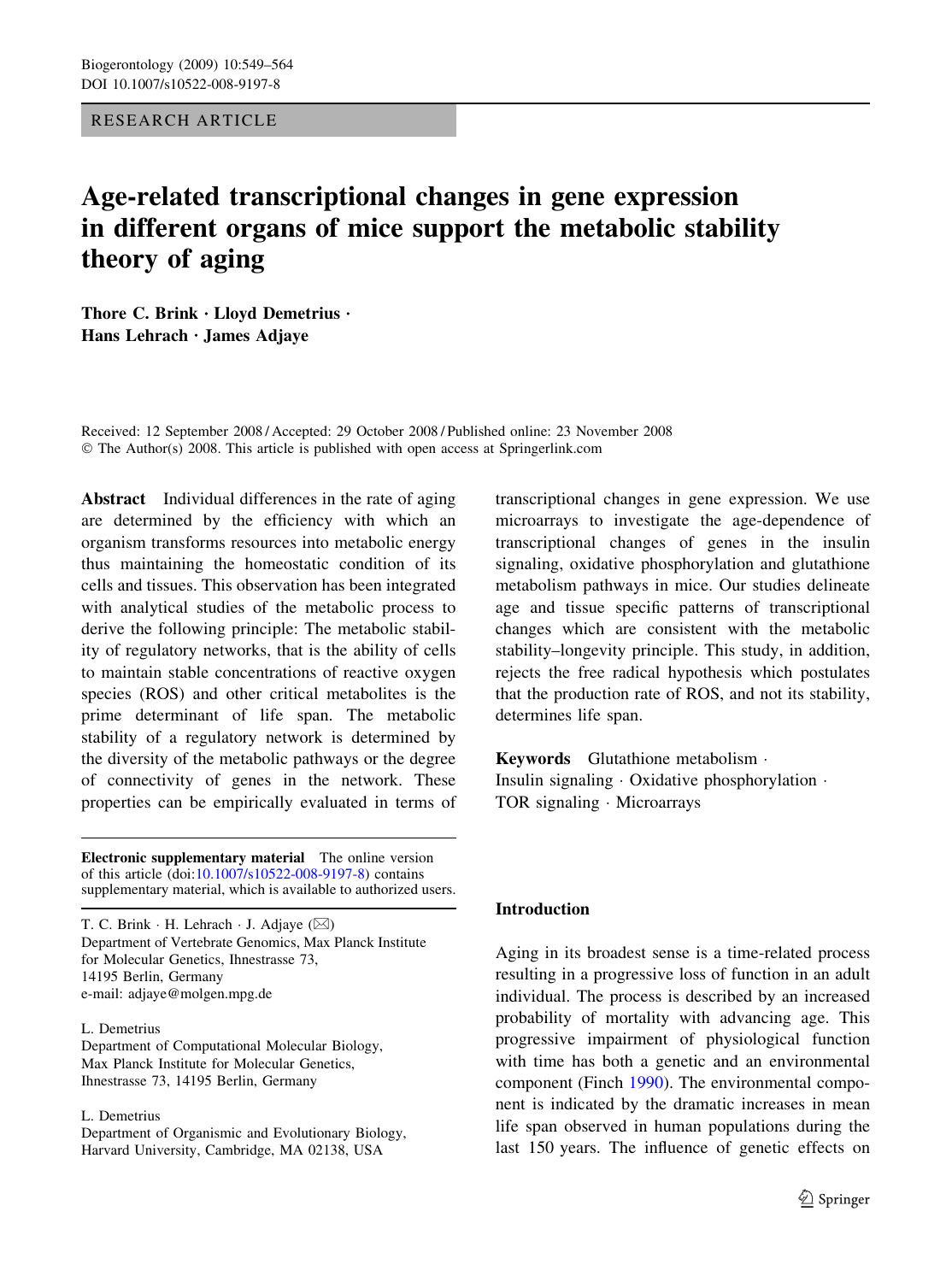RESEARCH ARTICLE

# Age-related transcriptional changes in gene expression in different organs of mice support the metabolic stability theory of aging

Thore C. Brink  $\cdot$  Lloyd Demetrius  $\cdot$ Hans Lehrach  $\cdot$  James Adjaye

Received: 12 September 2008 / Accepted: 29 October 2008 / Published online: 23 November 2008  $\odot$  The Author(s) 2008. This article is published with open access at Springerlink.com

Abstract Individual differences in the rate of aging are determined by the efficiency with which an organism transforms resources into metabolic energy thus maintaining the homeostatic condition of its cells and tissues. This observation has been integrated with analytical studies of the metabolic process to derive the following principle: The metabolic stability of regulatory networks, that is the ability of cells to maintain stable concentrations of reactive oxygen species (ROS) and other critical metabolites is the prime determinant of life span. The metabolic stability of a regulatory network is determined by the diversity of the metabolic pathways or the degree of connectivity of genes in the network. These properties can be empirically evaluated in terms of

Electronic supplementary material The online version of this article (doi[:10.1007/s10522-008-9197-8\)](http://dx.doi.org/10.1007/s10522-008-9197-8) contains supplementary material, which is available to authorized users.

T. C. Brink  $\cdot$  H. Lehrach  $\cdot$  J. Adjaye ( $\boxtimes$ ) Department of Vertebrate Genomics, Max Planck Institute for Molecular Genetics, Ihnestrasse 73, 14195 Berlin, Germany e-mail: adjaye@molgen.mpg.de

# L. Demetrius

Department of Computational Molecular Biology, Max Planck Institute for Molecular Genetics, Ihnestrasse 73, 14195 Berlin, Germany

#### L. Demetrius

Department of Organismic and Evolutionary Biology, Harvard University, Cambridge, MA 02138, USA

transcriptional changes in gene expression. We use microarrays to investigate the age-dependence of transcriptional changes of genes in the insulin signaling, oxidative phosphorylation and glutathione metabolism pathways in mice. Our studies delineate age and tissue specific patterns of transcriptional changes which are consistent with the metabolic stability–longevity principle. This study, in addition, rejects the free radical hypothesis which postulates that the production rate of ROS, and not its stability, determines life span.

Keywords Glutathione metabolism · Insulin signaling  $\cdot$  Oxidative phosphorylation  $\cdot$ TOR signaling · Microarrays

#### Introduction

Aging in its broadest sense is a time-related process resulting in a progressive loss of function in an adult individual. The process is described by an increased probability of mortality with advancing age. This progressive impairment of physiological function with time has both a genetic and an environmental component (Finch [1990](#page-15-0)). The environmental component is indicated by the dramatic increases in mean life span observed in human populations during the last 150 years. The influence of genetic effects on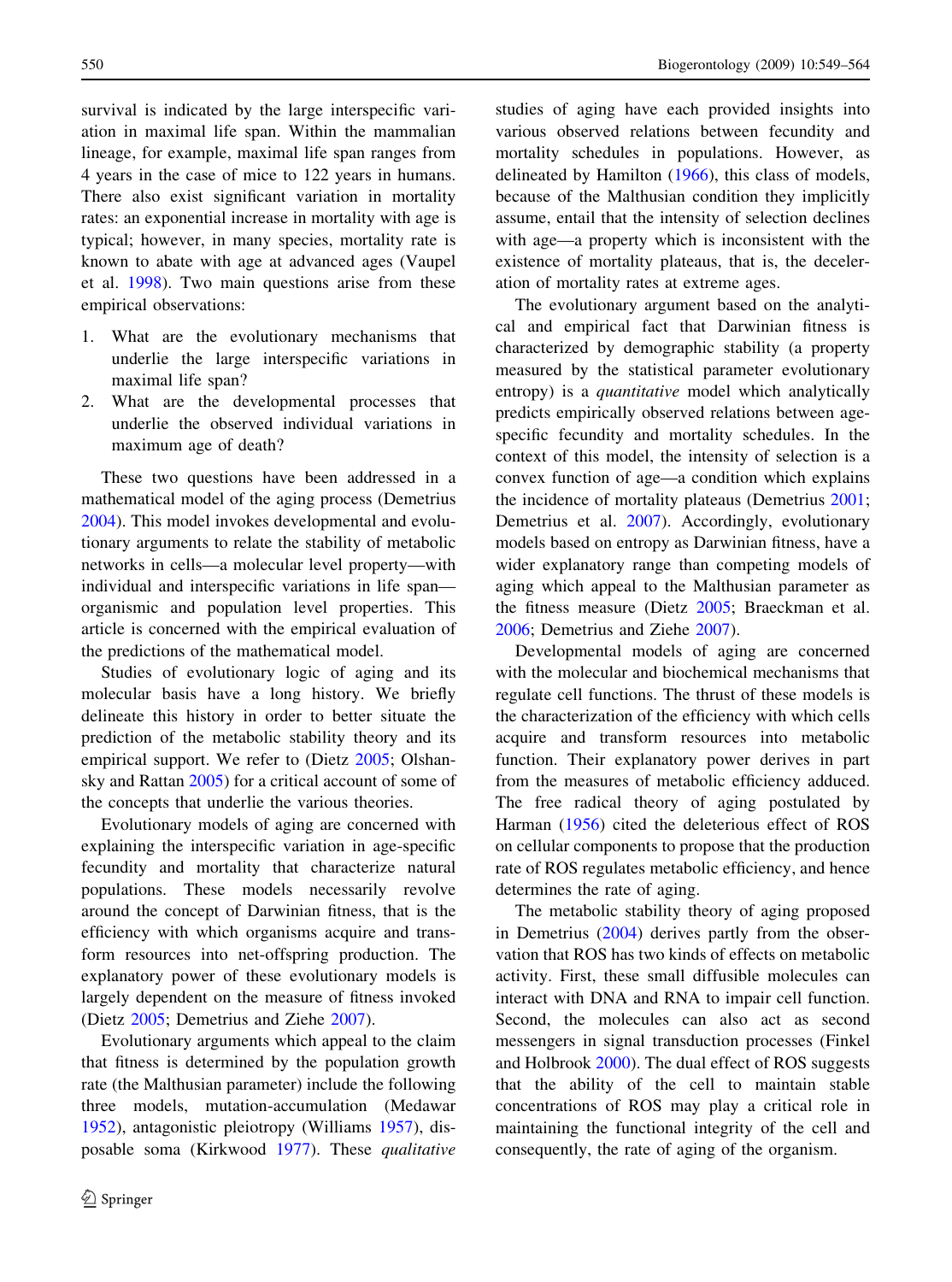survival is indicated by the large interspecific variation in maximal life span. Within the mammalian lineage, for example, maximal life span ranges from 4 years in the case of mice to 122 years in humans. There also exist significant variation in mortality rates: an exponential increase in mortality with age is typical; however, in many species, mortality rate is known to abate with age at advanced ages (Vaupel et al. [1998](#page-15-0)). Two main questions arise from these empirical observations:

- 1. What are the evolutionary mechanisms that underlie the large interspecific variations in maximal life span?
- 2. What are the developmental processes that underlie the observed individual variations in maximum age of death?

These two questions have been addressed in a mathematical model of the aging process (Demetrius [2004\)](#page-15-0). This model invokes developmental and evolutionary arguments to relate the stability of metabolic networks in cells—a molecular level property—with individual and interspecific variations in life span organismic and population level properties. This article is concerned with the empirical evaluation of the predictions of the mathematical model.

Studies of evolutionary logic of aging and its molecular basis have a long history. We briefly delineate this history in order to better situate the prediction of the metabolic stability theory and its empirical support. We refer to (Dietz [2005](#page-15-0); Olshansky and Rattan [2005\)](#page-15-0) for a critical account of some of the concepts that underlie the various theories.

Evolutionary models of aging are concerned with explaining the interspecific variation in age-specific fecundity and mortality that characterize natural populations. These models necessarily revolve around the concept of Darwinian fitness, that is the efficiency with which organisms acquire and transform resources into net-offspring production. The explanatory power of these evolutionary models is largely dependent on the measure of fitness invoked (Dietz [2005](#page-15-0); Demetrius and Ziehe [2007](#page-15-0)).

Evolutionary arguments which appeal to the claim that fitness is determined by the population growth rate (the Malthusian parameter) include the following three models, mutation-accumulation (Medawar [1952\)](#page-15-0), antagonistic pleiotropy (Williams [1957\)](#page-15-0), disposable soma (Kirkwood [1977\)](#page-15-0). These qualitative studies of aging have each provided insights into various observed relations between fecundity and mortality schedules in populations. However, as delineated by Hamilton [\(1966](#page-15-0)), this class of models, because of the Malthusian condition they implicitly assume, entail that the intensity of selection declines with age—a property which is inconsistent with the existence of mortality plateaus, that is, the deceleration of mortality rates at extreme ages.

The evolutionary argument based on the analytical and empirical fact that Darwinian fitness is characterized by demographic stability (a property measured by the statistical parameter evolutionary entropy) is a *quantitative* model which analytically predicts empirically observed relations between agespecific fecundity and mortality schedules. In the context of this model, the intensity of selection is a convex function of age—a condition which explains the incidence of mortality plateaus (Demetrius [2001](#page-15-0); Demetrius et al. [2007](#page-15-0)). Accordingly, evolutionary models based on entropy as Darwinian fitness, have a wider explanatory range than competing models of aging which appeal to the Malthusian parameter as the fitness measure (Dietz [2005](#page-15-0); Braeckman et al. [2006;](#page-14-0) Demetrius and Ziehe [2007\)](#page-15-0).

Developmental models of aging are concerned with the molecular and biochemical mechanisms that regulate cell functions. The thrust of these models is the characterization of the efficiency with which cells acquire and transform resources into metabolic function. Their explanatory power derives in part from the measures of metabolic efficiency adduced. The free radical theory of aging postulated by Harman ([1956\)](#page-15-0) cited the deleterious effect of ROS on cellular components to propose that the production rate of ROS regulates metabolic efficiency, and hence determines the rate of aging.

The metabolic stability theory of aging proposed in Demetrius [\(2004](#page-15-0)) derives partly from the observation that ROS has two kinds of effects on metabolic activity. First, these small diffusible molecules can interact with DNA and RNA to impair cell function. Second, the molecules can also act as second messengers in signal transduction processes (Finkel and Holbrook [2000](#page-15-0)). The dual effect of ROS suggests that the ability of the cell to maintain stable concentrations of ROS may play a critical role in maintaining the functional integrity of the cell and consequently, the rate of aging of the organism.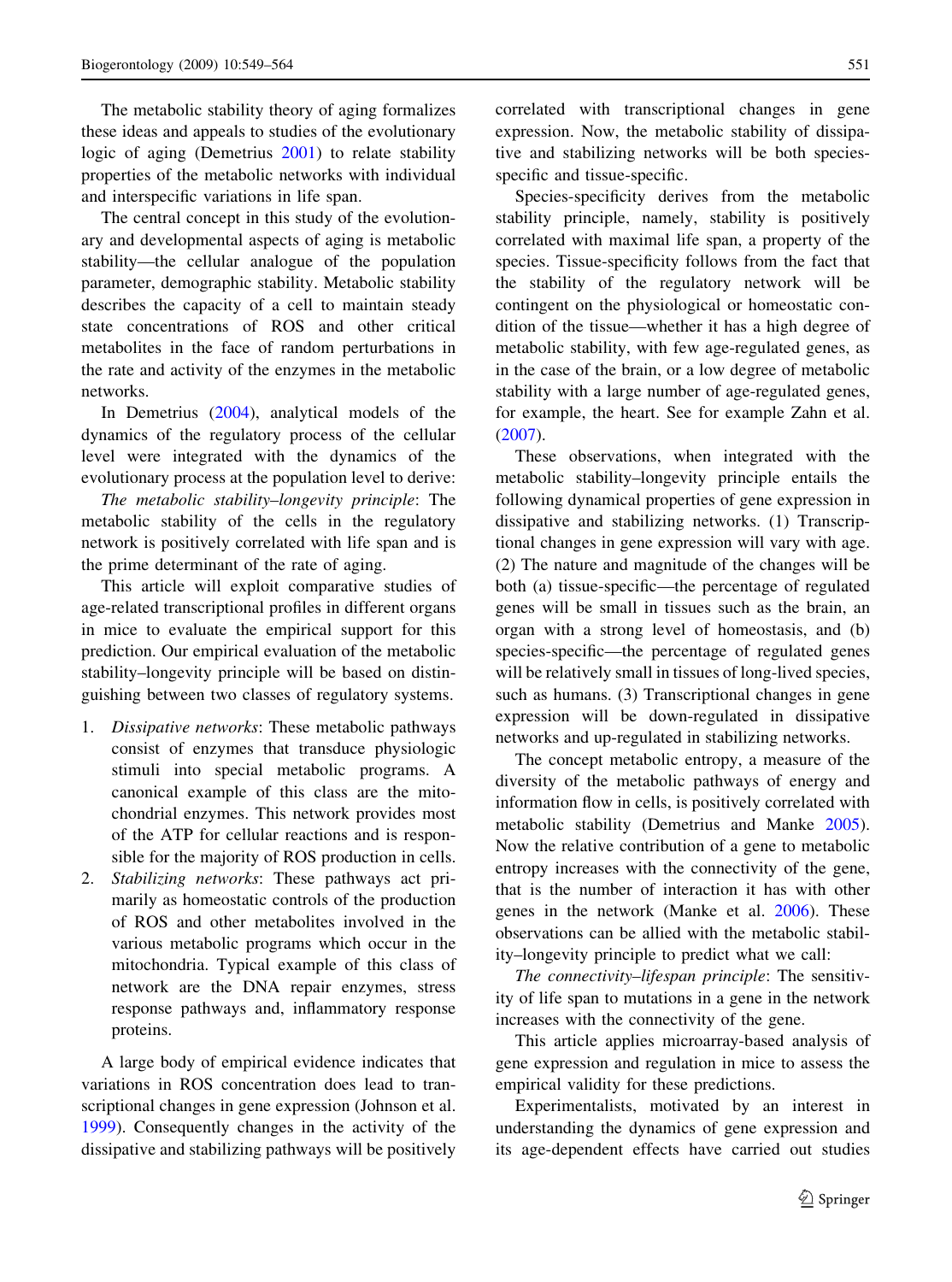The metabolic stability theory of aging formalizes these ideas and appeals to studies of the evolutionary logic of aging (Demetrius [2001\)](#page-15-0) to relate stability properties of the metabolic networks with individual and interspecific variations in life span.

The central concept in this study of the evolutionary and developmental aspects of aging is metabolic stability—the cellular analogue of the population parameter, demographic stability. Metabolic stability describes the capacity of a cell to maintain steady state concentrations of ROS and other critical metabolites in the face of random perturbations in the rate and activity of the enzymes in the metabolic networks.

In Demetrius ([2004\)](#page-15-0), analytical models of the dynamics of the regulatory process of the cellular level were integrated with the dynamics of the evolutionary process at the population level to derive:

The metabolic stability–longevity principle: The metabolic stability of the cells in the regulatory network is positively correlated with life span and is the prime determinant of the rate of aging.

This article will exploit comparative studies of age-related transcriptional profiles in different organs in mice to evaluate the empirical support for this prediction. Our empirical evaluation of the metabolic stability–longevity principle will be based on distinguishing between two classes of regulatory systems.

- 1. Dissipative networks: These metabolic pathways consist of enzymes that transduce physiologic stimuli into special metabolic programs. A canonical example of this class are the mitochondrial enzymes. This network provides most of the ATP for cellular reactions and is responsible for the majority of ROS production in cells.
- 2. Stabilizing networks: These pathways act primarily as homeostatic controls of the production of ROS and other metabolites involved in the various metabolic programs which occur in the mitochondria. Typical example of this class of network are the DNA repair enzymes, stress response pathways and, inflammatory response proteins.

A large body of empirical evidence indicates that variations in ROS concentration does lead to transcriptional changes in gene expression (Johnson et al. [1999\)](#page-15-0). Consequently changes in the activity of the dissipative and stabilizing pathways will be positively correlated with transcriptional changes in gene expression. Now, the metabolic stability of dissipative and stabilizing networks will be both speciesspecific and tissue-specific.

Species-specificity derives from the metabolic stability principle, namely, stability is positively correlated with maximal life span, a property of the species. Tissue-specificity follows from the fact that the stability of the regulatory network will be contingent on the physiological or homeostatic condition of the tissue—whether it has a high degree of metabolic stability, with few age-regulated genes, as in the case of the brain, or a low degree of metabolic stability with a large number of age-regulated genes, for example, the heart. See for example Zahn et al. [\(2007](#page-15-0)).

These observations, when integrated with the metabolic stability–longevity principle entails the following dynamical properties of gene expression in dissipative and stabilizing networks. (1) Transcriptional changes in gene expression will vary with age. (2) The nature and magnitude of the changes will be both (a) tissue-specific—the percentage of regulated genes will be small in tissues such as the brain, an organ with a strong level of homeostasis, and (b) species-specific—the percentage of regulated genes will be relatively small in tissues of long-lived species, such as humans. (3) Transcriptional changes in gene expression will be down-regulated in dissipative networks and up-regulated in stabilizing networks.

The concept metabolic entropy, a measure of the diversity of the metabolic pathways of energy and information flow in cells, is positively correlated with metabolic stability (Demetrius and Manke [2005](#page-15-0)). Now the relative contribution of a gene to metabolic entropy increases with the connectivity of the gene, that is the number of interaction it has with other genes in the network (Manke et al. [2006](#page-15-0)). These observations can be allied with the metabolic stability–longevity principle to predict what we call:

The connectivity–lifespan principle: The sensitivity of life span to mutations in a gene in the network increases with the connectivity of the gene.

This article applies microarray-based analysis of gene expression and regulation in mice to assess the empirical validity for these predictions.

Experimentalists, motivated by an interest in understanding the dynamics of gene expression and its age-dependent effects have carried out studies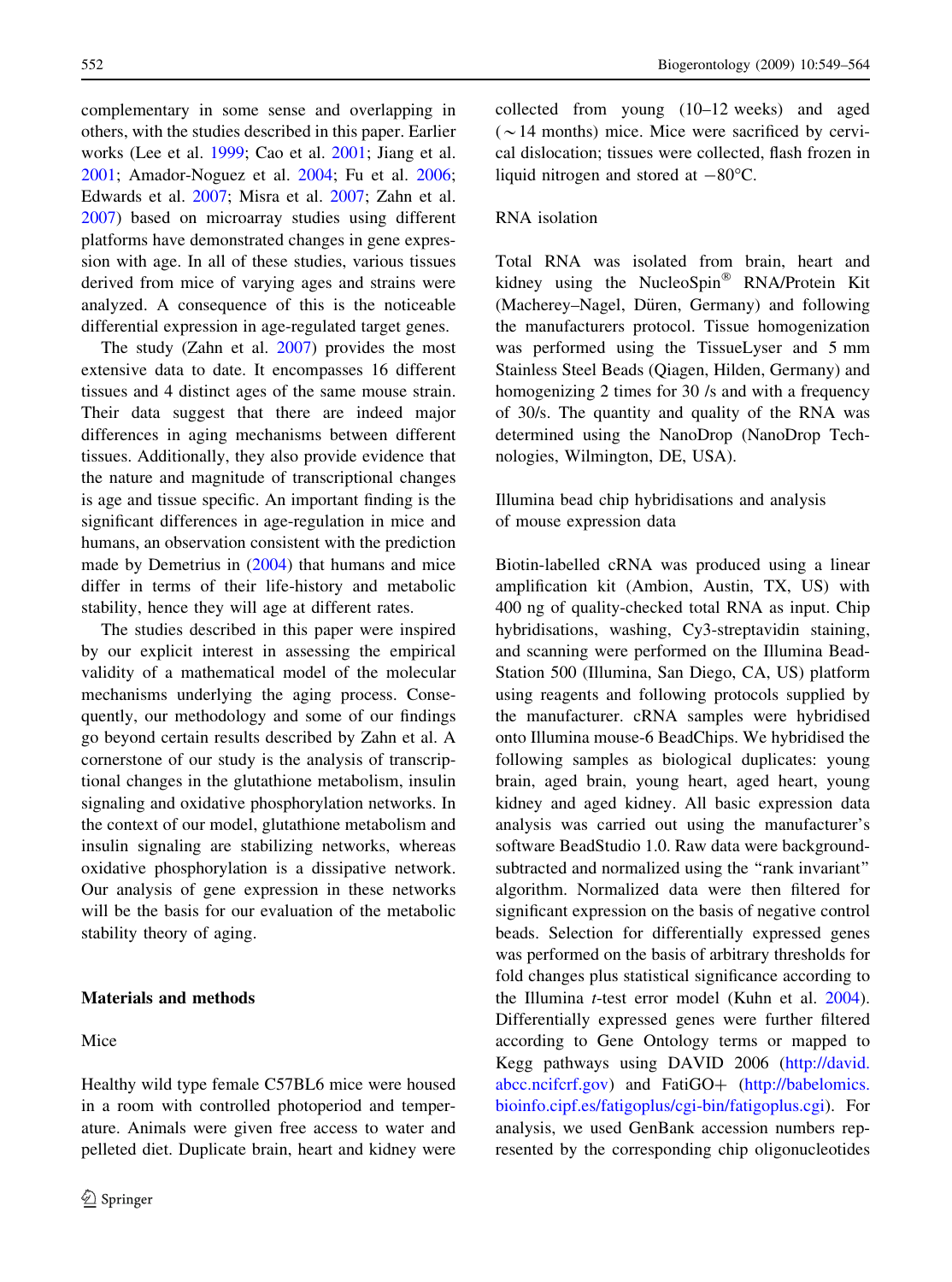complementary in some sense and overlapping in others, with the studies described in this paper. Earlier works (Lee et al. [1999;](#page-15-0) Cao et al. [2001;](#page-14-0) Jiang et al. [2001;](#page-15-0) Amador-Noguez et al. [2004](#page-14-0); Fu et al. [2006](#page-15-0); Edwards et al. [2007;](#page-15-0) Misra et al. [2007;](#page-15-0) Zahn et al. [2007\)](#page-15-0) based on microarray studies using different platforms have demonstrated changes in gene expression with age. In all of these studies, various tissues derived from mice of varying ages and strains were analyzed. A consequence of this is the noticeable differential expression in age-regulated target genes.

The study (Zahn et al. [2007](#page-15-0)) provides the most extensive data to date. It encompasses 16 different tissues and 4 distinct ages of the same mouse strain. Their data suggest that there are indeed major differences in aging mechanisms between different tissues. Additionally, they also provide evidence that the nature and magnitude of transcriptional changes is age and tissue specific. An important finding is the significant differences in age-regulation in mice and humans, an observation consistent with the prediction made by Demetrius in ([2004\)](#page-15-0) that humans and mice differ in terms of their life-history and metabolic stability, hence they will age at different rates.

The studies described in this paper were inspired by our explicit interest in assessing the empirical validity of a mathematical model of the molecular mechanisms underlying the aging process. Consequently, our methodology and some of our findings go beyond certain results described by Zahn et al. A cornerstone of our study is the analysis of transcriptional changes in the glutathione metabolism, insulin signaling and oxidative phosphorylation networks. In the context of our model, glutathione metabolism and insulin signaling are stabilizing networks, whereas oxidative phosphorylation is a dissipative network. Our analysis of gene expression in these networks will be the basis for our evaluation of the metabolic stability theory of aging.

# Materials and methods

# Mice

Healthy wild type female C57BL6 mice were housed in a room with controlled photoperiod and temperature. Animals were given free access to water and pelleted diet. Duplicate brain, heart and kidney were collected from young (10–12 weeks) and aged  $(\sim 14$  months) mice. Mice were sacrificed by cervical dislocation; tissues were collected, flash frozen in liquid nitrogen and stored at  $-80^{\circ}$ C.

# RNA isolation

Total RNA was isolated from brain, heart and kidney using the NucleoSpin<sup>®</sup> RNA/Protein Kit (Macherey–Nagel, Düren, Germany) and following the manufacturers protocol. Tissue homogenization was performed using the TissueLyser and 5 mm Stainless Steel Beads (Qiagen, Hilden, Germany) and homogenizing 2 times for 30 /s and with a frequency of 30/s. The quantity and quality of the RNA was determined using the NanoDrop (NanoDrop Technologies, Wilmington, DE, USA).

Illumina bead chip hybridisations and analysis of mouse expression data

Biotin-labelled cRNA was produced using a linear amplification kit (Ambion, Austin, TX, US) with 400 ng of quality-checked total RNA as input. Chip hybridisations, washing, Cy3-streptavidin staining, and scanning were performed on the Illumina Bead-Station 500 (Illumina, San Diego, CA, US) platform using reagents and following protocols supplied by the manufacturer. cRNA samples were hybridised onto Illumina mouse-6 BeadChips. We hybridised the following samples as biological duplicates: young brain, aged brain, young heart, aged heart, young kidney and aged kidney. All basic expression data analysis was carried out using the manufacturer's software BeadStudio 1.0. Raw data were backgroundsubtracted and normalized using the "rank invariant" algorithm. Normalized data were then filtered for significant expression on the basis of negative control beads. Selection for differentially expressed genes was performed on the basis of arbitrary thresholds for fold changes plus statistical significance according to the Illumina *t*-test error model (Kuhn et al.  $2004$ ). Differentially expressed genes were further filtered according to Gene Ontology terms or mapped to Kegg pathways using DAVID 2006 ([http://david.](http://david.abcc.ncifcrf.gov) [abcc.ncifcrf.gov\)](http://david.abcc.ncifcrf.gov) and FatiGO+ [\(http://babelomics.](http://babelomics.bioinfo.cipf.es/fatigoplus/cgi-bin/fatigoplus.cgi) [bioinfo.cipf.es/fatigoplus/cgi-bin/fatigoplus.cgi](http://babelomics.bioinfo.cipf.es/fatigoplus/cgi-bin/fatigoplus.cgi)). For analysis, we used GenBank accession numbers represented by the corresponding chip oligonucleotides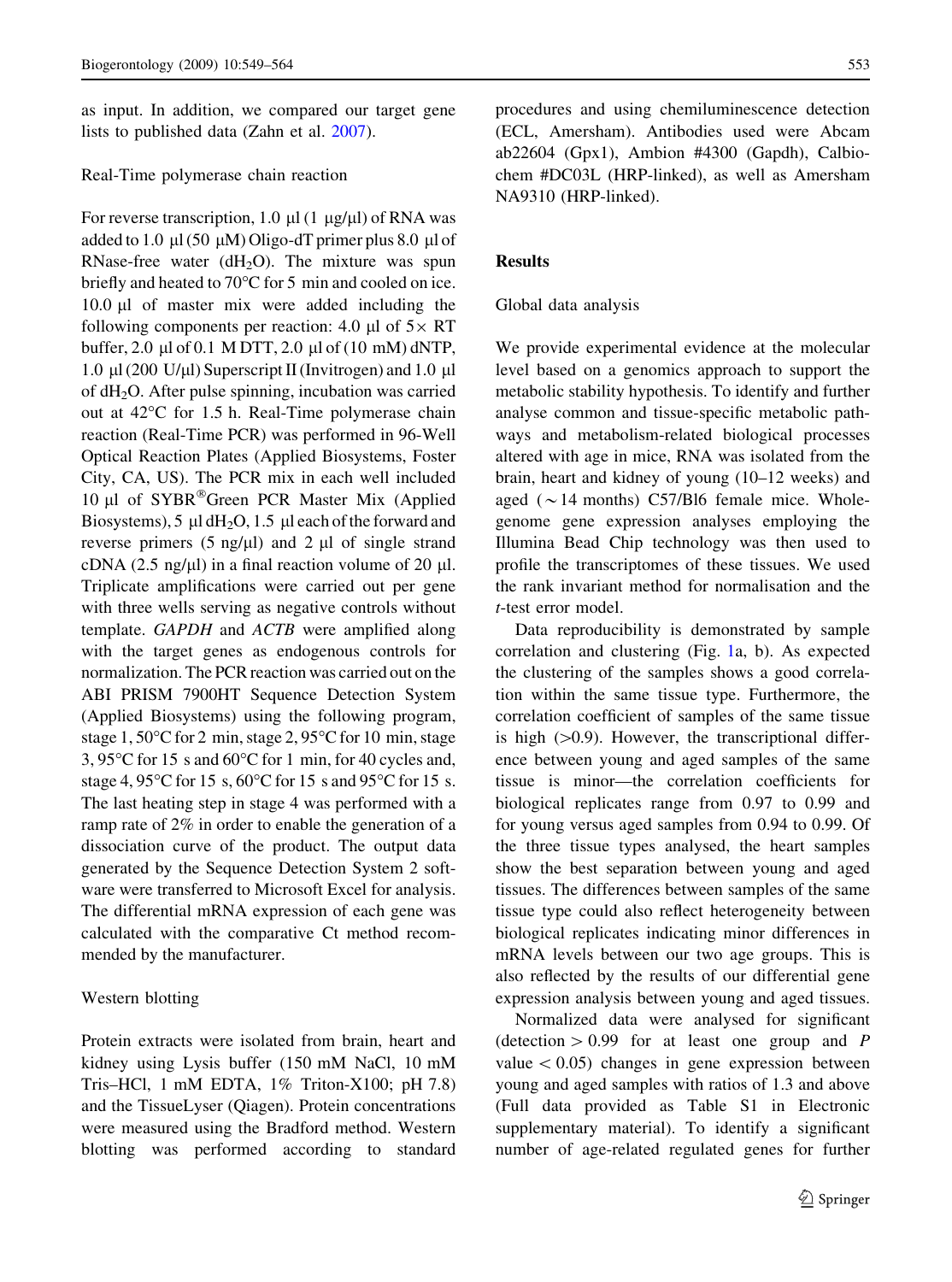as input. In addition, we compared our target gene lists to published data (Zahn et al. [2007\)](#page-15-0).

## Real-Time polymerase chain reaction

For reverse transcription, 1.0  $\mu$ l (1  $\mu$ g/ $\mu$ l) of RNA was added to 1.0  $\mu$ l (50  $\mu$ M) Oligo-dT primer plus 8.0  $\mu$ l of RNase-free water  $(dH<sub>2</sub>O)$ . The mixture was spun briefly and heated to  $70^{\circ}$ C for 5 min and cooled on ice. 10.0 µl of master mix were added including the following components per reaction: 4.0  $\mu$ l of 5 $\times$  RT buffer, 2.0  $\mu$ l of 0.1 M DTT, 2.0  $\mu$ l of (10 mM) dNTP, 1.0  $\mu$ l (200 U/ $\mu$ l) Superscript II (Invitrogen) and 1.0  $\mu$ l of  $dH_2O$ . After pulse spinning, incubation was carried out at 42°C for 1.5 h. Real-Time polymerase chain reaction (Real-Time PCR) was performed in 96-Well Optical Reaction Plates (Applied Biosystems, Foster City, CA, US). The PCR mix in each well included 10 µl of  $SYBR^{\circledR}$ Green PCR Master Mix (Applied Biosystems), 5  $\mu$ l dH<sub>2</sub>O, 1.5  $\mu$ l each of the forward and reverse primers  $(5 \text{ ng/µl})$  and  $2 \text{ µl}$  of single strand cDNA (2.5 ng/ $\mu$ l) in a final reaction volume of 20  $\mu$ l. Triplicate amplifications were carried out per gene with three wells serving as negative controls without template. GAPDH and ACTB were amplified along with the target genes as endogenous controls for normalization. The PCR reaction was carried out on the ABI PRISM 7900HT Sequence Detection System (Applied Biosystems) using the following program, stage 1, 50°C for 2 min, stage 2, 95°C for 10 min, stage  $3,95^{\circ}$ C for 15 s and 60 $^{\circ}$ C for 1 min, for 40 cycles and, stage 4,  $95^{\circ}$ C for 15 s,  $60^{\circ}$ C for 15 s and  $95^{\circ}$ C for 15 s. The last heating step in stage 4 was performed with a ramp rate of 2% in order to enable the generation of a dissociation curve of the product. The output data generated by the Sequence Detection System 2 software were transferred to Microsoft Excel for analysis. The differential mRNA expression of each gene was calculated with the comparative Ct method recommended by the manufacturer.

#### Western blotting

Protein extracts were isolated from brain, heart and kidney using Lysis buffer (150 mM NaCl, 10 mM Tris–HCl, 1 mM EDTA, 1% Triton-X100; pH 7.8) and the TissueLyser (Qiagen). Protein concentrations were measured using the Bradford method. Western blotting was performed according to standard procedures and using chemiluminescence detection (ECL, Amersham). Antibodies used were Abcam ab22604 (Gpx1), Ambion #4300 (Gapdh), Calbiochem #DC03L (HRP-linked), as well as Amersham NA9310 (HRP-linked).

# Results

#### Global data analysis

We provide experimental evidence at the molecular level based on a genomics approach to support the metabolic stability hypothesis. To identify and further analyse common and tissue-specific metabolic pathways and metabolism-related biological processes altered with age in mice, RNA was isolated from the brain, heart and kidney of young (10–12 weeks) and aged ( $\sim$  14 months) C57/Bl6 female mice. Wholegenome gene expression analyses employing the Illumina Bead Chip technology was then used to profile the transcriptomes of these tissues. We used the rank invariant method for normalisation and the t-test error model.

Data reproducibility is demonstrated by sample correlation and clustering (Fig. [1a](#page-5-0), b). As expected the clustering of the samples shows a good correlation within the same tissue type. Furthermore, the correlation coefficient of samples of the same tissue is high  $(>0.9)$ . However, the transcriptional difference between young and aged samples of the same tissue is minor—the correlation coefficients for biological replicates range from 0.97 to 0.99 and for young versus aged samples from 0.94 to 0.99. Of the three tissue types analysed, the heart samples show the best separation between young and aged tissues. The differences between samples of the same tissue type could also reflect heterogeneity between biological replicates indicating minor differences in mRNA levels between our two age groups. This is also reflected by the results of our differential gene expression analysis between young and aged tissues.

Normalized data were analysed for significant (detection  $> 0.99$  for at least one group and P value  $\langle 0.05 \rangle$  changes in gene expression between young and aged samples with ratios of 1.3 and above (Full data provided as Table S1 in Electronic supplementary material). To identify a significant number of age-related regulated genes for further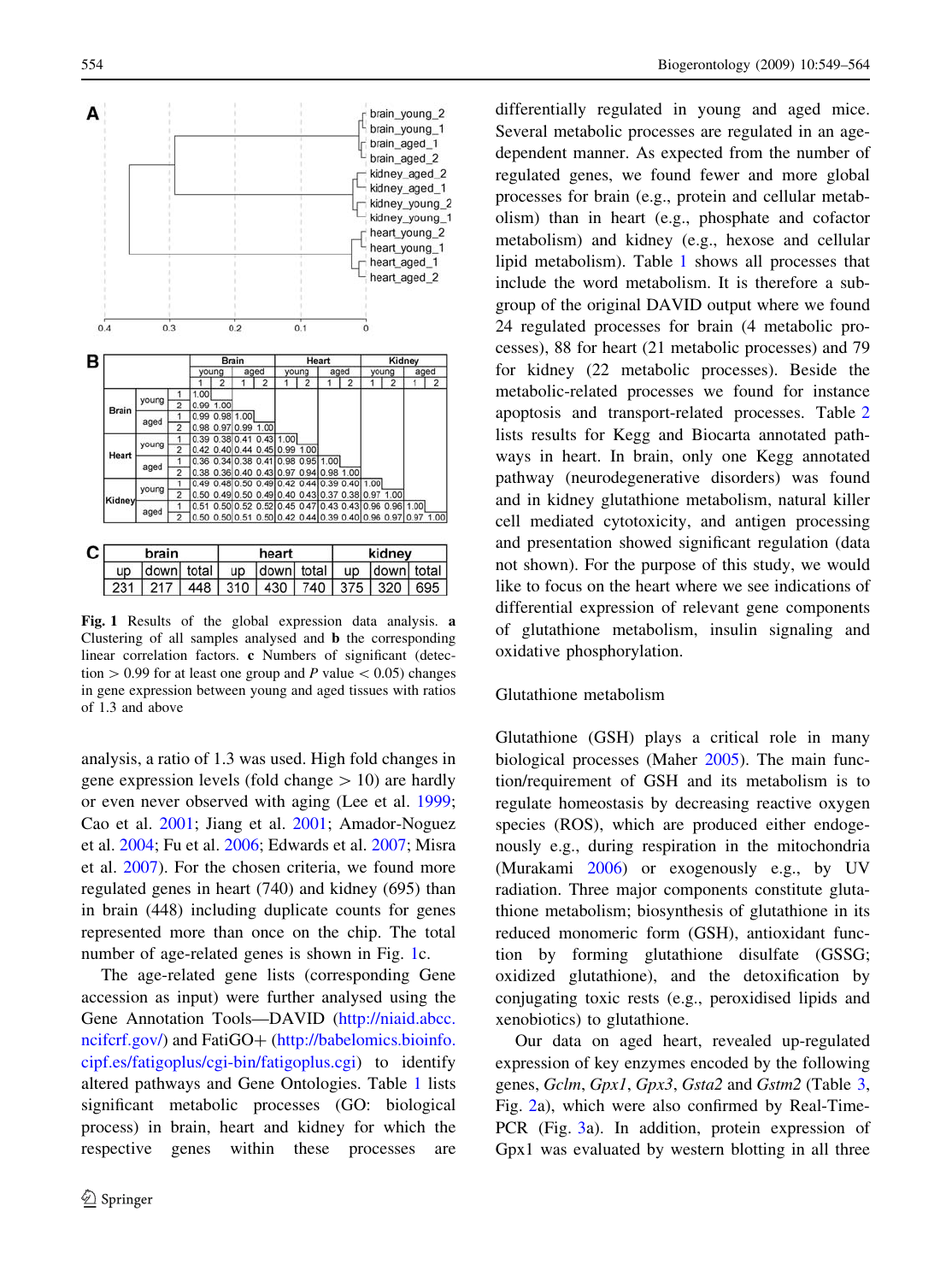<span id="page-5-0"></span>

| C | brain |                                                     |  | heart |  | kidney |  |               |  |
|---|-------|-----------------------------------------------------|--|-------|--|--------|--|---------------|--|
|   |       | down total up down total                            |  |       |  |        |  | up down total |  |
|   |       | 231   217   448   310   430   740   375   320   695 |  |       |  |        |  |               |  |

Fig. 1 Results of the global expression data analysis. a Clustering of all samples analysed and b the corresponding linear correlation factors. c Numbers of significant (detection  $> 0.99$  for at least one group and P value  $< 0.05$ ) changes in gene expression between young and aged tissues with ratios of 1.3 and above

analysis, a ratio of 1.3 was used. High fold changes in gene expression levels (fold change  $> 10$ ) are hardly or even never observed with aging (Lee et al. [1999](#page-15-0); Cao et al. [2001;](#page-14-0) Jiang et al. [2001](#page-15-0); Amador-Noguez et al. [2004;](#page-14-0) Fu et al. [2006;](#page-15-0) Edwards et al. [2007;](#page-15-0) Misra et al. [2007\)](#page-15-0). For the chosen criteria, we found more regulated genes in heart (740) and kidney (695) than in brain (448) including duplicate counts for genes represented more than once on the chip. The total number of age-related genes is shown in Fig. 1c.

The age-related gene lists (corresponding Gene accession as input) were further analysed using the Gene Annotation Tools—DAVID ([http://niaid.abcc.](http://niaid.abcc.ncifcrf.gov/) nciferf.gov/) and FatiGO+ [\(http://babelomics.bioinfo.](http://babelomics.bioinfo.cipf.es/fatigoplus/cgi-bin/fatigoplus.cgi) [cipf.es/fatigoplus/cgi-bin/fatigoplus.cgi\)](http://babelomics.bioinfo.cipf.es/fatigoplus/cgi-bin/fatigoplus.cgi) to identify altered pathways and Gene Ontologies. Table [1](#page-6-0) lists significant metabolic processes (GO: biological process) in brain, heart and kidney for which the respective genes within these processes are differentially regulated in young and aged mice. Several metabolic processes are regulated in an agedependent manner. As expected from the number of regulated genes, we found fewer and more global processes for brain (e.g., protein and cellular metabolism) than in heart (e.g., phosphate and cofactor metabolism) and kidney (e.g., hexose and cellular lipid metabolism). Table [1](#page-6-0) shows all processes that include the word metabolism. It is therefore a subgroup of the original DAVID output where we found 24 regulated processes for brain (4 metabolic processes), 88 for heart (21 metabolic processes) and 79 for kidney (22 metabolic processes). Beside the metabolic-related processes we found for instance apoptosis and transport-related processes. Table [2](#page-7-0) lists results for Kegg and Biocarta annotated pathways in heart. In brain, only one Kegg annotated pathway (neurodegenerative disorders) was found and in kidney glutathione metabolism, natural killer cell mediated cytotoxicity, and antigen processing and presentation showed significant regulation (data not shown). For the purpose of this study, we would like to focus on the heart where we see indications of differential expression of relevant gene components of glutathione metabolism, insulin signaling and oxidative phosphorylation.

## Glutathione metabolism

Glutathione (GSH) plays a critical role in many biological processes (Maher [2005](#page-15-0)). The main function/requirement of GSH and its metabolism is to regulate homeostasis by decreasing reactive oxygen species (ROS), which are produced either endogenously e.g., during respiration in the mitochondria (Murakami [2006\)](#page-15-0) or exogenously e.g., by UV radiation. Three major components constitute glutathione metabolism; biosynthesis of glutathione in its reduced monomeric form (GSH), antioxidant function by forming glutathione disulfate (GSSG; oxidized glutathione), and the detoxification by conjugating toxic rests (e.g., peroxidised lipids and xenobiotics) to glutathione.

Our data on aged heart, revealed up-regulated expression of key enzymes encoded by the following genes, Gclm, Gpx1, Gpx3, Gsta2 and Gstm2 (Table [3,](#page-8-0) Fig. [2a](#page-8-0)), which were also confirmed by Real-Time-PCR (Fig. [3](#page-10-0)a). In addition, protein expression of Gpx1 was evaluated by western blotting in all three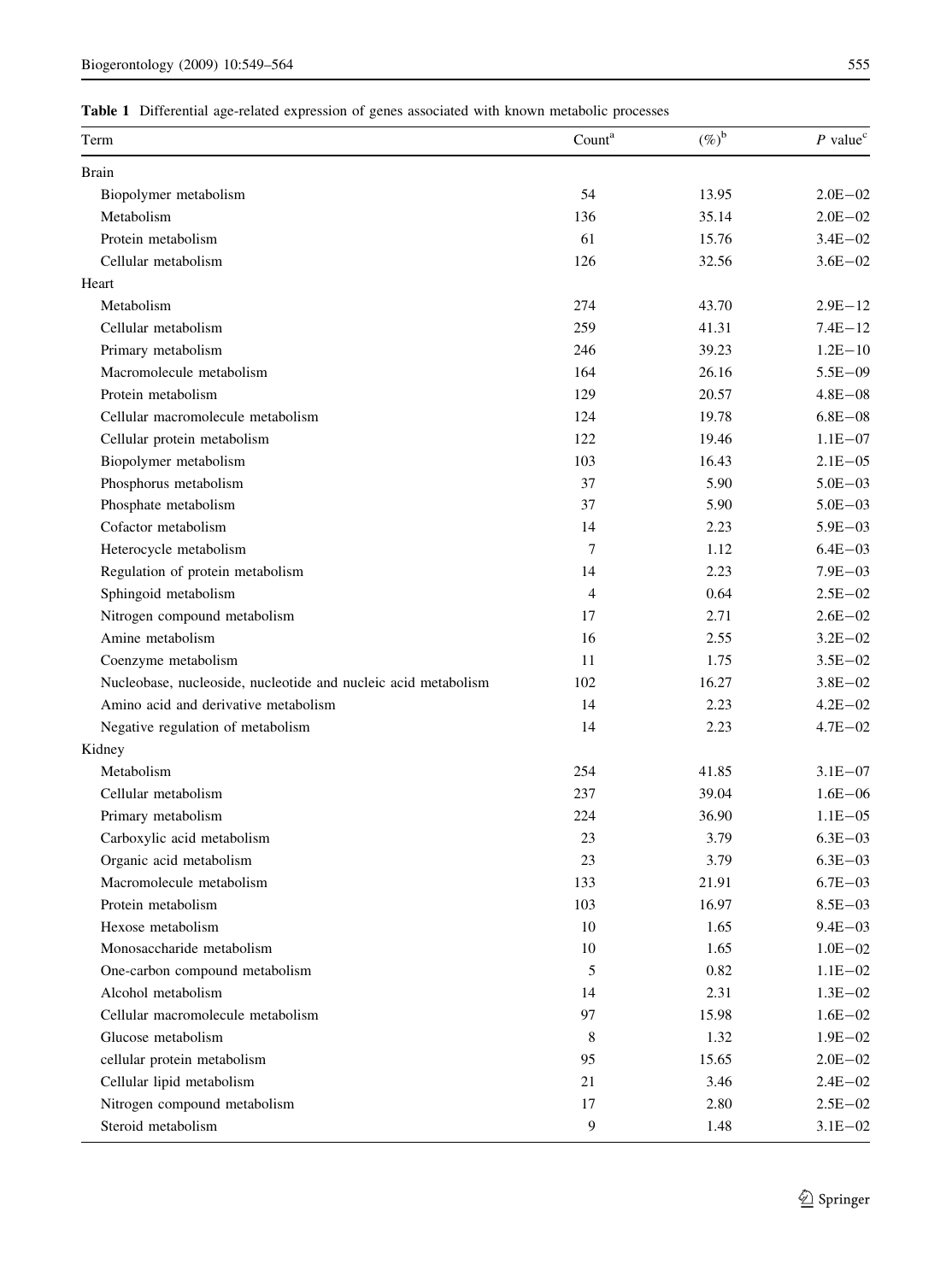<span id="page-6-0"></span>Table 1 Differential age-related expression of genes associated with known metabolic processes

| Term                                                           | Count <sup>a</sup> | $(\%)^{\mathrm{b}}$ | $P$ value <sup>c</sup> |
|----------------------------------------------------------------|--------------------|---------------------|------------------------|
| Brain                                                          |                    |                     |                        |
| Biopolymer metabolism                                          | 54                 | 13.95               | $2.0E - 02$            |
| Metabolism                                                     | 136                | 35.14               | $2.0E - 02$            |
| Protein metabolism                                             | 61                 | 15.76               | $3.4E - 02$            |
| Cellular metabolism                                            | 126                | 32.56               | $3.6E - 02$            |
| Heart                                                          |                    |                     |                        |
| Metabolism                                                     | 274                | 43.70               | $2.9E - 12$            |
| Cellular metabolism                                            | 259                | 41.31               | $7.4E - 12$            |
| Primary metabolism                                             | 246                | 39.23               | $1.2E - 10$            |
| Macromolecule metabolism                                       | 164                | 26.16               | $5.5E - 09$            |
| Protein metabolism                                             | 129                | 20.57               | $4.8E - 08$            |
| Cellular macromolecule metabolism                              | 124                | 19.78               | $6.8E - 08$            |
| Cellular protein metabolism                                    | 122                | 19.46               | $1.1E - 07$            |
| Biopolymer metabolism                                          | 103                | 16.43               | $2.1E - 05$            |
| Phosphorus metabolism                                          | 37                 | 5.90                | $5.0E - 03$            |
| Phosphate metabolism                                           | 37                 | 5.90                | $5.0E - 03$            |
| Cofactor metabolism                                            | 14                 | 2.23                | $5.9E - 03$            |
| Heterocycle metabolism                                         | 7                  | 1.12                | $6.4E - 03$            |
| Regulation of protein metabolism                               | 14                 | 2.23                | $7.9E - 03$            |
| Sphingoid metabolism                                           | 4                  | 0.64                | $2.5E - 02$            |
| Nitrogen compound metabolism                                   | 17                 | 2.71                | $2.6E - 02$            |
| Amine metabolism                                               | 16                 | 2.55                | $3.2E - 02$            |
| Coenzyme metabolism                                            | 11                 | 1.75                | $3.5E - 02$            |
| Nucleobase, nucleoside, nucleotide and nucleic acid metabolism | 102                | 16.27               | $3.8E - 02$            |
| Amino acid and derivative metabolism                           | 14                 | 2.23                | $4.2E - 02$            |
| Negative regulation of metabolism                              | 14                 | 2.23                | $4.7E - 02$            |
| Kidney                                                         |                    |                     |                        |
| Metabolism                                                     | 254                | 41.85               | $3.1E - 07$            |
| Cellular metabolism                                            | 237                | 39.04               | $1.6E - 06$            |
| Primary metabolism                                             | 224                | 36.90               | $1.1E - 05$            |
| Carboxylic acid metabolism                                     | 23                 | 3.79                | $6.3E - 03$            |
| Organic acid metabolism                                        | 23                 | 3.79                | $6.3E - 03$            |
| Macromolecule metabolism                                       | 133                | 21.91               | $6.7E - 03$            |
| Protein metabolism                                             | 103                | 16.97               | $8.5E - 03$            |
| Hexose metabolism                                              | 10                 | 1.65                | $9.4E - 03$            |
| Monosaccharide metabolism                                      | 10                 | 1.65                | $1.0E - 02$            |
| One-carbon compound metabolism                                 | 5                  | 0.82                | $1.1E - 02$            |
| Alcohol metabolism                                             | 14                 | 2.31                | $1.3E - 02$            |
| Cellular macromolecule metabolism                              | 97                 | 15.98               | $1.6E - 02$            |
| Glucose metabolism                                             | 8                  | 1.32                | $1.9E - 02$            |
| cellular protein metabolism                                    | 95                 | 15.65               | $2.0E - 02$            |
| Cellular lipid metabolism                                      | 21                 | 3.46                | $2.4E - 02$            |
| Nitrogen compound metabolism                                   | 17                 | 2.80                | $2.5E - 02$            |
| Steroid metabolism                                             | 9                  | 1.48                | $3.1E - 02$            |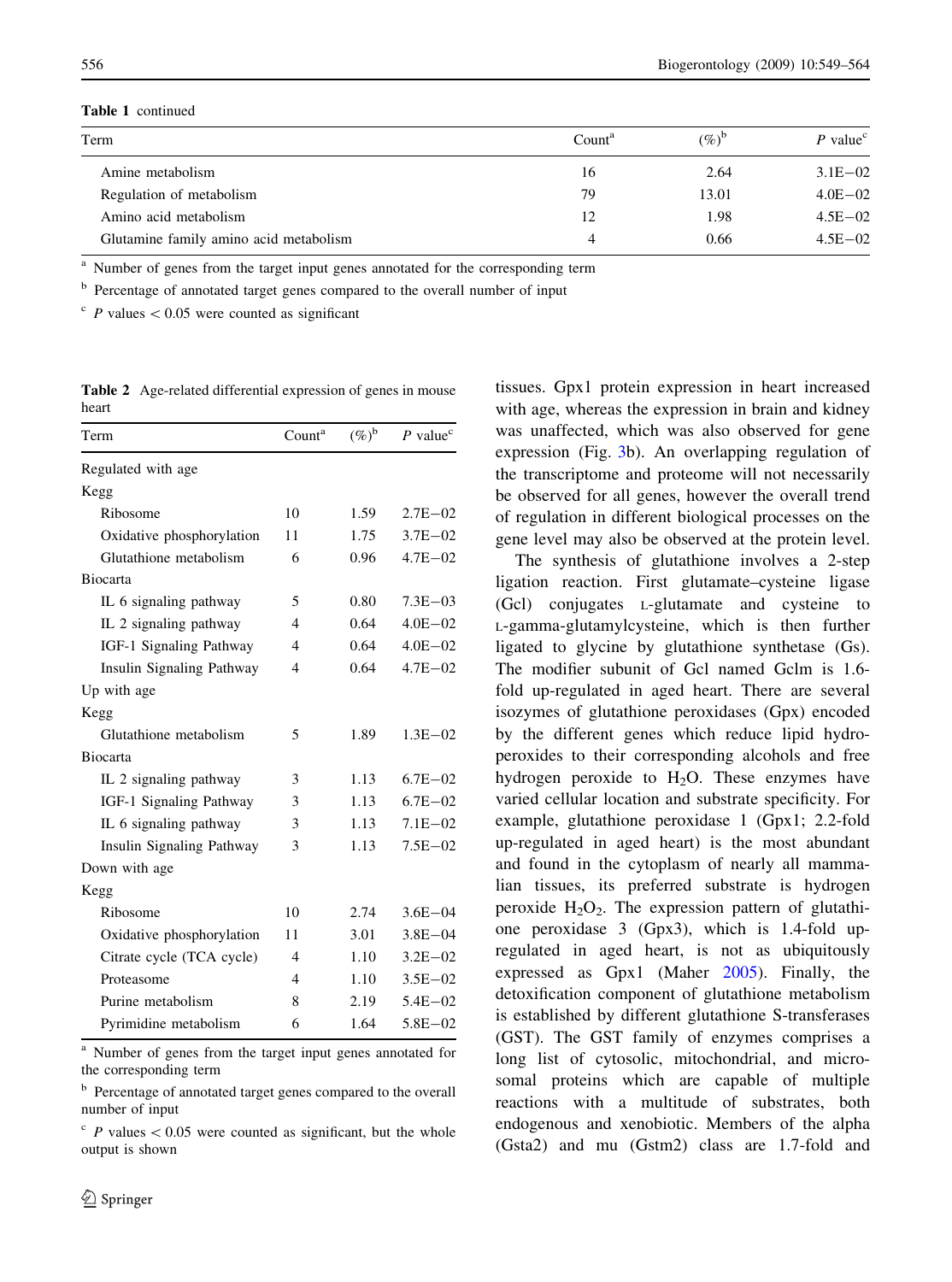#### <span id="page-7-0"></span>Table 1 continued

| Term                                   | Count <sup>a</sup> | $(\%)^{\mathsf{b}}$ | $P$ value <sup>c</sup> |
|----------------------------------------|--------------------|---------------------|------------------------|
| Amine metabolism                       | 16                 | 2.64                | $3.1E - 02$            |
| Regulation of metabolism               | 79                 | 13.01               | $4.0E - 02$            |
| Amino acid metabolism                  | 12                 | 1.98                | $4.5E - 02$            |
| Glutamine family amino acid metabolism | 4                  | 0.66                | $4.5E - 02$            |

Number of genes from the target input genes annotated for the corresponding term

b Percentage of annotated target genes compared to the overall number of input

 $\degree$  P values  $\lt$  0.05 were counted as significant

Table 2 Age-related differential expression of genes in mouse heart

| Term                      | Count <sup>a</sup> | $(\%)^{\mathrm{b}}$ | $P$ value <sup>c</sup> |
|---------------------------|--------------------|---------------------|------------------------|
| Regulated with age        |                    |                     |                        |
| Kegg                      |                    |                     |                        |
| Ribosome                  | 10                 | 1.59                | $2.7E - 02$            |
| Oxidative phosphorylation | 11                 | 1.75                | $3.7E - 02$            |
| Glutathione metabolism    | 6                  | 0.96                | $4.7E - 02$            |
| <b>Biocarta</b>           |                    |                     |                        |
| IL 6 signaling pathway    | 5                  | 0.80                | $7.3E - 03$            |
| IL 2 signaling pathway    | 4                  | 0.64                | $4.0E - 02$            |
| IGF-1 Signaling Pathway   | 4                  | 0.64                | $4.0E - 02$            |
| Insulin Signaling Pathway | 4                  | 0.64                | $4.7E - 02$            |
| Up with age               |                    |                     |                        |
| Kegg                      |                    |                     |                        |
| Glutathione metabolism    | 5                  | 1.89                | $1.3E - 02$            |
| <b>Biocarta</b>           |                    |                     |                        |
| IL 2 signaling pathway    | 3                  | 1.13                | $6.7E - 02$            |
| IGF-1 Signaling Pathway   | 3                  | 1.13                | $6.7E - 02$            |
| IL 6 signaling pathway    | 3                  | 1.13                | $7.1E - 02$            |
| Insulin Signaling Pathway | 3                  | 1.13                | $7.5E - 02$            |
| Down with age             |                    |                     |                        |
| Kegg                      |                    |                     |                        |
| Ribosome                  | 10                 | 2.74                | $3.6E - 04$            |
| Oxidative phosphorylation | 11                 | 3.01                | $3.8E - 04$            |
| Citrate cycle (TCA cycle) | 4                  | 1.10                | $3.2E - 02$            |
| Proteasome                | 4                  | 1.10                | $3.5E - 02$            |
| Purine metabolism         | 8                  | 2.19                | $5.4E - 02$            |
| Pyrimidine metabolism     | 6                  | 1.64                | $5.8E - 02$            |

Number of genes from the target input genes annotated for the corresponding term

<sup>b</sup> Percentage of annotated target genes compared to the overall number of input

 $\degree$  P values < 0.05 were counted as significant, but the whole output is shown

tissues. Gpx1 protein expression in heart increased with age, whereas the expression in brain and kidney was unaffected, which was also observed for gene expression (Fig. [3](#page-10-0)b). An overlapping regulation of the transcriptome and proteome will not necessarily be observed for all genes, however the overall trend of regulation in different biological processes on the gene level may also be observed at the protein level.

The synthesis of glutathione involves a 2-step ligation reaction. First glutamate–cysteine ligase (Gcl) conjugates L-glutamate and cysteine to L-gamma-glutamylcysteine, which is then further ligated to glycine by glutathione synthetase (Gs). The modifier subunit of Gcl named Gclm is 1.6 fold up-regulated in aged heart. There are several isozymes of glutathione peroxidases (Gpx) encoded by the different genes which reduce lipid hydroperoxides to their corresponding alcohols and free hydrogen peroxide to  $H<sub>2</sub>O$ . These enzymes have varied cellular location and substrate specificity. For example, glutathione peroxidase 1 (Gpx1; 2.2-fold up-regulated in aged heart) is the most abundant and found in the cytoplasm of nearly all mammalian tissues, its preferred substrate is hydrogen peroxide  $H_2O_2$ . The expression pattern of glutathione peroxidase 3 (Gpx3), which is 1.4-fold upregulated in aged heart, is not as ubiquitously expressed as Gpx1 (Maher [2005\)](#page-15-0). Finally, the detoxification component of glutathione metabolism is established by different glutathione S-transferases (GST). The GST family of enzymes comprises a long list of cytosolic, mitochondrial, and microsomal proteins which are capable of multiple reactions with a multitude of substrates, both endogenous and xenobiotic. Members of the alpha (Gsta2) and mu (Gstm2) class are 1.7-fold and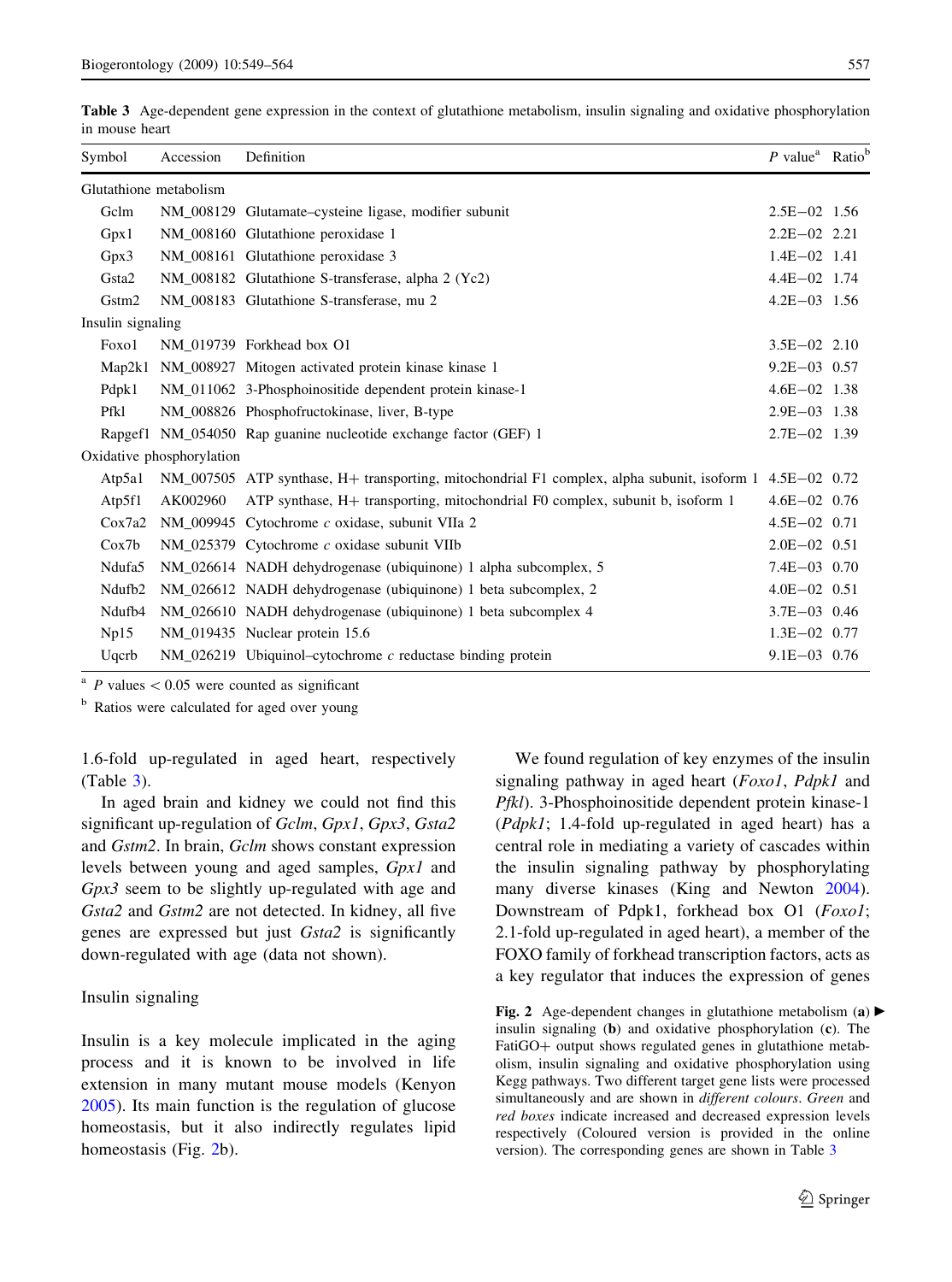<span id="page-8-0"></span>Table 3 Age-dependent gene expression in the context of glutathione metabolism, insulin signaling and oxidative phosphorylation in mouse heart

| Symbol                 | Accession                 | Definition                                                                                               | P value <sup>a</sup> Ratio <sup>b</sup> |  |
|------------------------|---------------------------|----------------------------------------------------------------------------------------------------------|-----------------------------------------|--|
| Glutathione metabolism |                           |                                                                                                          |                                         |  |
| Gclm                   |                           | NM_008129 Glutamate-cysteine ligase, modifier subunit                                                    | $2.5E - 02$ 1.56                        |  |
| Gpx1                   |                           | NM_008160 Glutathione peroxidase 1                                                                       | $2.2E - 02$ 2.21                        |  |
| Gpx3                   |                           | NM_008161 Glutathione peroxidase 3                                                                       | $1.4E - 02$ 1.41                        |  |
| Gsta <sub>2</sub>      |                           | NM_008182 Glutathione S-transferase, alpha 2 (Yc2)                                                       | $4.4E - 02$ 1.74                        |  |
| Gstm <sub>2</sub>      |                           | NM 008183 Glutathione S-transferase, mu 2                                                                | $4.2E - 03$ 1.56                        |  |
| Insulin signaling      |                           |                                                                                                          |                                         |  |
| Foxo1                  |                           | NM_019739 Forkhead box O1                                                                                | $3.5E - 02$ 2.10                        |  |
| Map2k1                 |                           | NM_008927 Mitogen activated protein kinase kinase 1                                                      | $9.2E - 03$ 0.57                        |  |
| Pdpk1                  |                           | NM_011062 3-Phosphoinositide dependent protein kinase-1                                                  | $4.6E - 02$ 1.38                        |  |
| Pfkl                   |                           | NM_008826 Phosphofructokinase, liver, B-type                                                             | $2.9E - 03$ 1.38                        |  |
|                        |                           | Rapgef1 NM 054050 Rap guanine nucleotide exchange factor (GEF) 1                                         | $2.7E - 02$ 1.39                        |  |
|                        | Oxidative phosphorylation |                                                                                                          |                                         |  |
| Atp5a1                 |                           | NM 007505 ATP synthase, H+ transporting, mitochondrial F1 complex, alpha subunit, isoform 1 4.5E-02 0.72 |                                         |  |
| Atp5f1                 | AK002960                  | ATP synthase, H+ transporting, mitochondrial F0 complex, subunit b, isoform 1                            | $4.6E - 02$ 0.76                        |  |
| Cox7a2                 |                           | NM_009945 Cytochrome c oxidase, subunit VIIa 2                                                           | $4.5E - 02$ 0.71                        |  |
| Cox7b                  |                           | $NM_025379$ Cytochrome c oxidase subunit VIIb                                                            | $2.0E - 02$ 0.51                        |  |
| Ndufa5                 |                           | NM_026614 NADH dehydrogenase (ubiquinone) 1 alpha subcomplex, 5                                          | $7.4E - 03$ 0.70                        |  |
| Ndufb <sub>2</sub>     |                           | NM_026612 NADH dehydrogenase (ubiquinone) 1 beta subcomplex, 2                                           | $4.0E - 02$ 0.51                        |  |
| Ndufb4                 |                           | NM_026610 NADH dehydrogenase (ubiquinone) 1 beta subcomplex 4                                            | $3.7E - 03$ 0.46                        |  |
| Np15                   |                           | NM 019435 Nuclear protein 15.6                                                                           | $1.3E - 02$ 0.77                        |  |
| Uqcrb                  |                           | $NM_026219$ Ubiquinol–cytochrome $c$ reductase binding protein                                           | $9.1E - 03$ 0.76                        |  |

<sup>a</sup> P values  $\lt$  0.05 were counted as significant

<sup>b</sup> Ratios were calculated for aged over young

1.6-fold up-regulated in aged heart, respectively (Table 3).

In aged brain and kidney we could not find this significant up-regulation of Gclm, Gpx1, Gpx3, Gsta2 and Gstm2. In brain, Gclm shows constant expression levels between young and aged samples, Gpx1 and Gpx3 seem to be slightly up-regulated with age and Gsta2 and Gstm2 are not detected. In kidney, all five genes are expressed but just Gsta2 is significantly down-regulated with age (data not shown).

# Insulin signaling

Insulin is a key molecule implicated in the aging process and it is known to be involved in life extension in many mutant mouse models (Kenyon [2005\)](#page-15-0). Its main function is the regulation of glucose homeostasis, but it also indirectly regulates lipid homeostasis (Fig. 2b).

We found regulation of key enzymes of the insulin signaling pathway in aged heart (Foxo1, Pdpk1 and Pfkl). 3-Phosphoinositide dependent protein kinase-1 (Pdpk1; 1.4-fold up-regulated in aged heart) has a central role in mediating a variety of cascades within the insulin signaling pathway by phosphorylating many diverse kinases (King and Newton [2004](#page-15-0)). Downstream of Pdpk1, forkhead box O1 (Foxo1; 2.1-fold up-regulated in aged heart), a member of the FOXO family of forkhead transcription factors, acts as a key regulator that induces the expression of genes

Fig. 2 Age-dependent changes in glutathione metabolism (a) ▶ insulin signaling (b) and oxidative phosphorylation (c). The FatiGO+ output shows regulated genes in glutathione metabolism, insulin signaling and oxidative phosphorylation using Kegg pathways. Two different target gene lists were processed simultaneously and are shown in different colours. Green and red boxes indicate increased and decreased expression levels respectively (Coloured version is provided in the online version). The corresponding genes are shown in Table 3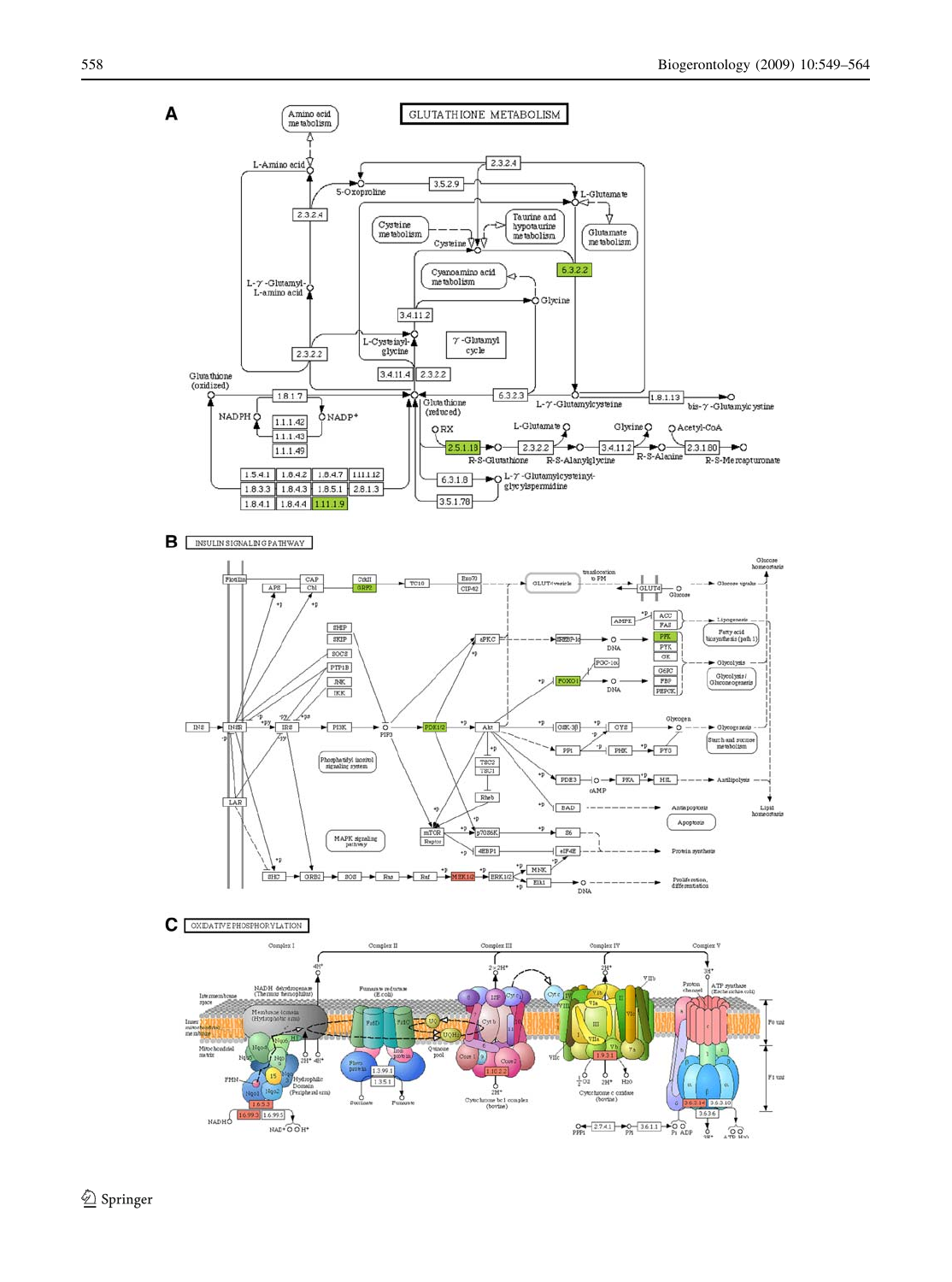

<sup>2</sup> Springer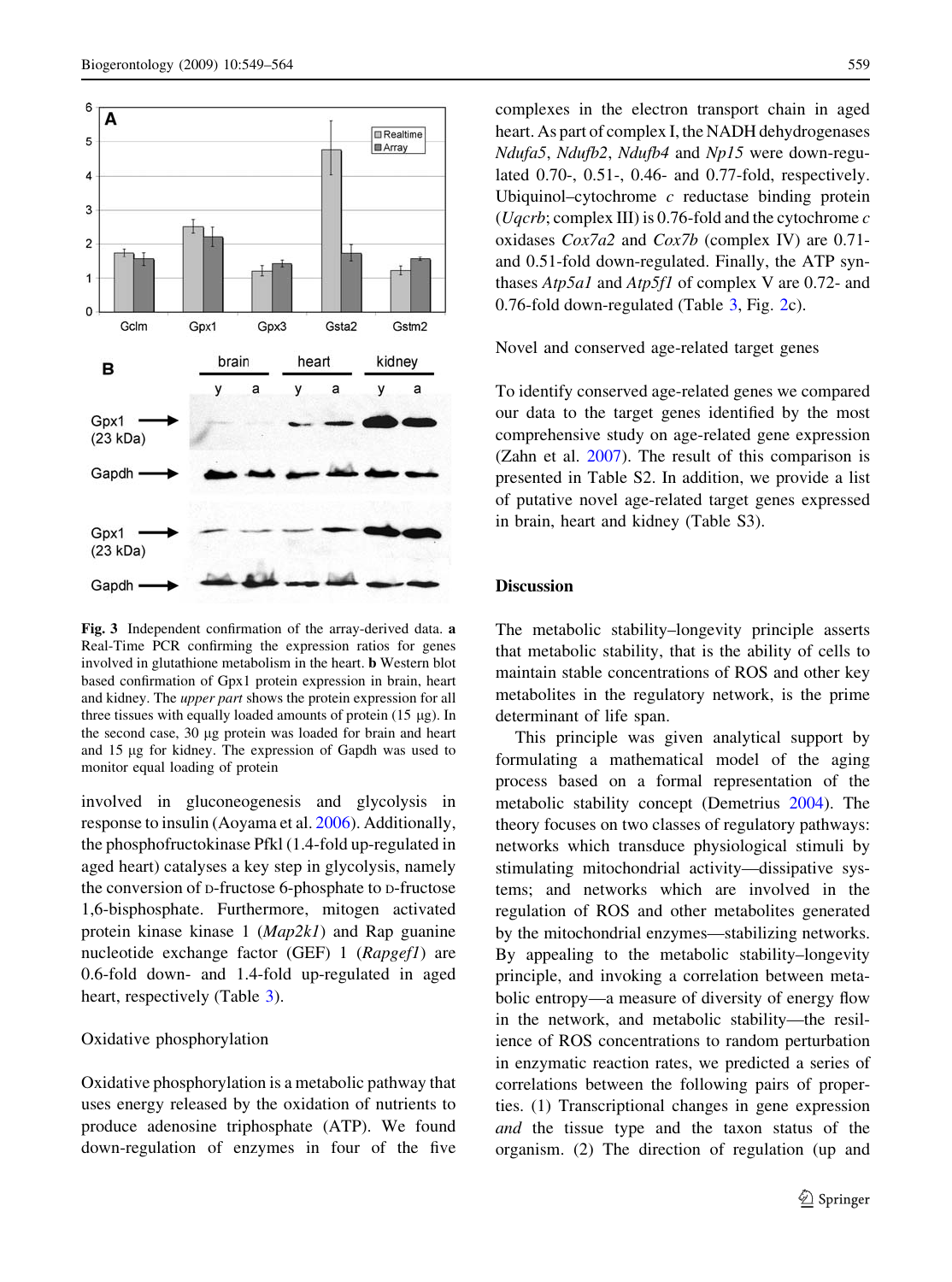<span id="page-10-0"></span>

Fig. 3 Independent confirmation of the array-derived data. a Real-Time PCR confirming the expression ratios for genes involved in glutathione metabolism in the heart. b Western blot based confirmation of Gpx1 protein expression in brain, heart and kidney. The *upper part* shows the protein expression for all three tissues with equally loaded amounts of protein  $(15 \mu g)$ . In the second case, 30 µg protein was loaded for brain and heart and 15 µg for kidney. The expression of Gapdh was used to monitor equal loading of protein

involved in gluconeogenesis and glycolysis in response to insulin (Aoyama et al. [2006](#page-14-0)). Additionally, the phosphofructokinase Pfkl (1.4-fold up-regulated in aged heart) catalyses a key step in glycolysis, namely the conversion of D-fructose 6-phosphate to D-fructose 1,6-bisphosphate. Furthermore, mitogen activated protein kinase kinase 1 (Map2k1) and Rap guanine nucleotide exchange factor (GEF) 1 (Rapgef1) are 0.6-fold down- and 1.4-fold up-regulated in aged heart, respectively (Table [3\)](#page-8-0).

## Oxidative phosphorylation

Oxidative phosphorylation is a metabolic pathway that uses energy released by the oxidation of nutrients to produce adenosine triphosphate (ATP). We found down-regulation of enzymes in four of the five complexes in the electron transport chain in aged heart. As part of complex I, the NADH dehydrogenases Ndufa5, Ndufb2, Ndufb4 and Np15 were down-regulated 0.70-, 0.51-, 0.46- and 0.77-fold, respectively. Ubiquinol–cytochrome  $c$  reductase binding protein (*Uqcrb*; complex III) is 0.76-fold and the cytochrome  $c$ oxidases Cox7a2 and Cox7b (complex IV) are 0.71 and 0.51-fold down-regulated. Finally, the ATP synthases Atp5a1 and Atp5f1 of complex V are 0.72- and 0.76-fold down-regulated (Table [3](#page-8-0), Fig. [2](#page-8-0)c).

Novel and conserved age-related target genes

To identify conserved age-related genes we compared our data to the target genes identified by the most comprehensive study on age-related gene expression (Zahn et al. [2007](#page-15-0)). The result of this comparison is presented in Table S2. In addition, we provide a list of putative novel age-related target genes expressed in brain, heart and kidney (Table S3).

# **Discussion**

The metabolic stability–longevity principle asserts that metabolic stability, that is the ability of cells to maintain stable concentrations of ROS and other key metabolites in the regulatory network, is the prime determinant of life span.

This principle was given analytical support by formulating a mathematical model of the aging process based on a formal representation of the metabolic stability concept (Demetrius [2004\)](#page-15-0). The theory focuses on two classes of regulatory pathways: networks which transduce physiological stimuli by stimulating mitochondrial activity—dissipative systems; and networks which are involved in the regulation of ROS and other metabolites generated by the mitochondrial enzymes—stabilizing networks. By appealing to the metabolic stability–longevity principle, and invoking a correlation between metabolic entropy—a measure of diversity of energy flow in the network, and metabolic stability—the resilience of ROS concentrations to random perturbation in enzymatic reaction rates, we predicted a series of correlations between the following pairs of properties. (1) Transcriptional changes in gene expression and the tissue type and the taxon status of the organism. (2) The direction of regulation (up and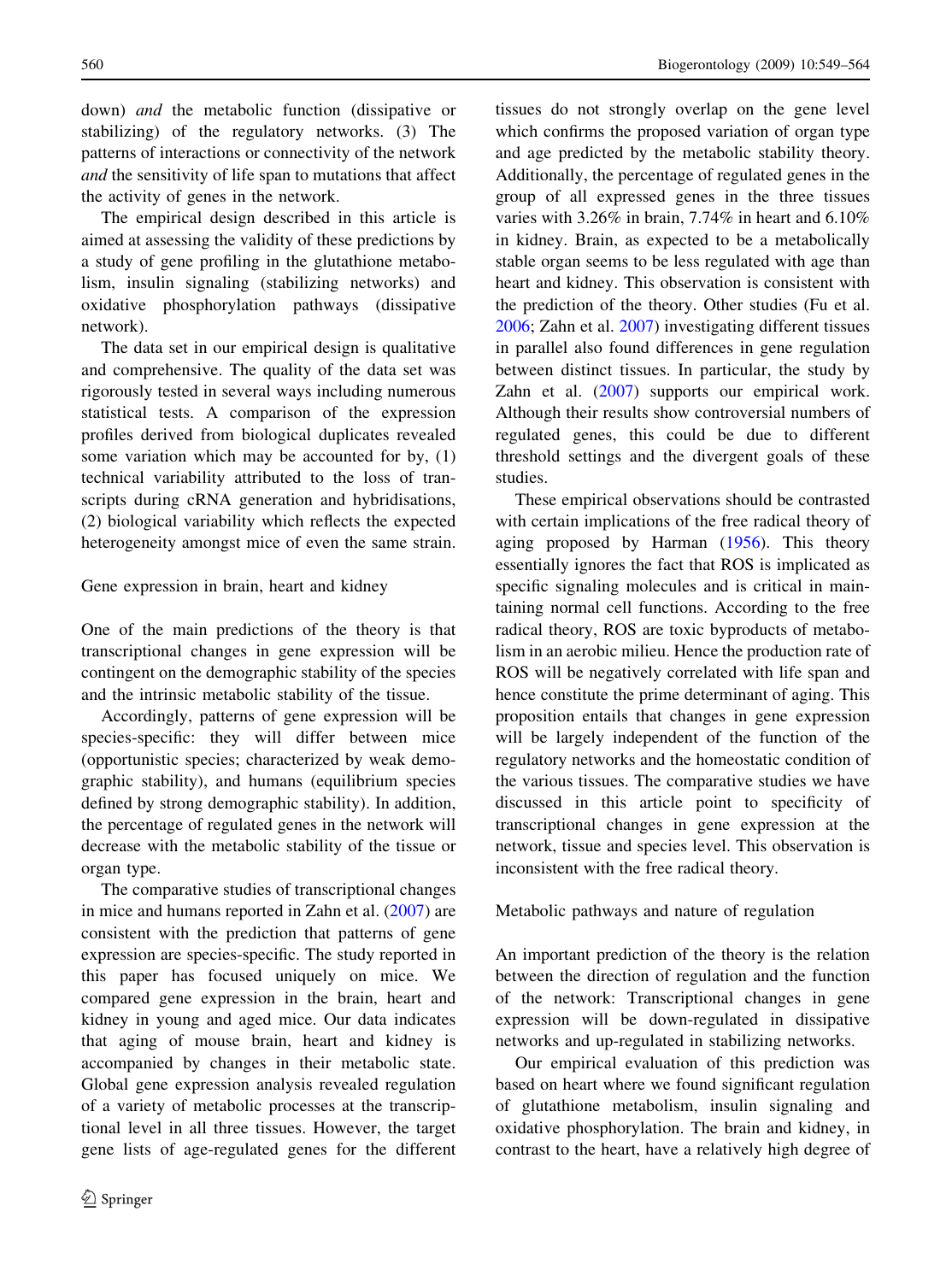down) and the metabolic function (dissipative or stabilizing) of the regulatory networks. (3) The patterns of interactions or connectivity of the network and the sensitivity of life span to mutations that affect the activity of genes in the network.

The empirical design described in this article is aimed at assessing the validity of these predictions by a study of gene profiling in the glutathione metabolism, insulin signaling (stabilizing networks) and oxidative phosphorylation pathways (dissipative network).

The data set in our empirical design is qualitative and comprehensive. The quality of the data set was rigorously tested in several ways including numerous statistical tests. A comparison of the expression profiles derived from biological duplicates revealed some variation which may be accounted for by, (1) technical variability attributed to the loss of transcripts during cRNA generation and hybridisations, (2) biological variability which reflects the expected heterogeneity amongst mice of even the same strain.

## Gene expression in brain, heart and kidney

One of the main predictions of the theory is that transcriptional changes in gene expression will be contingent on the demographic stability of the species and the intrinsic metabolic stability of the tissue.

Accordingly, patterns of gene expression will be species-specific: they will differ between mice (opportunistic species; characterized by weak demographic stability), and humans (equilibrium species defined by strong demographic stability). In addition, the percentage of regulated genes in the network will decrease with the metabolic stability of the tissue or organ type.

The comparative studies of transcriptional changes in mice and humans reported in Zahn et al. [\(2007](#page-15-0)) are consistent with the prediction that patterns of gene expression are species-specific. The study reported in this paper has focused uniquely on mice. We compared gene expression in the brain, heart and kidney in young and aged mice. Our data indicates that aging of mouse brain, heart and kidney is accompanied by changes in their metabolic state. Global gene expression analysis revealed regulation of a variety of metabolic processes at the transcriptional level in all three tissues. However, the target gene lists of age-regulated genes for the different tissues do not strongly overlap on the gene level which confirms the proposed variation of organ type and age predicted by the metabolic stability theory. Additionally, the percentage of regulated genes in the group of all expressed genes in the three tissues varies with 3.26% in brain, 7.74% in heart and 6.10% in kidney. Brain, as expected to be a metabolically stable organ seems to be less regulated with age than heart and kidney. This observation is consistent with the prediction of the theory. Other studies (Fu et al. [2006;](#page-15-0) Zahn et al. [2007\)](#page-15-0) investigating different tissues in parallel also found differences in gene regulation between distinct tissues. In particular, the study by Zahn et al. [\(2007](#page-15-0)) supports our empirical work. Although their results show controversial numbers of regulated genes, this could be due to different threshold settings and the divergent goals of these studies.

These empirical observations should be contrasted with certain implications of the free radical theory of aging proposed by Harman [\(1956](#page-15-0)). This theory essentially ignores the fact that ROS is implicated as specific signaling molecules and is critical in maintaining normal cell functions. According to the free radical theory, ROS are toxic byproducts of metabolism in an aerobic milieu. Hence the production rate of ROS will be negatively correlated with life span and hence constitute the prime determinant of aging. This proposition entails that changes in gene expression will be largely independent of the function of the regulatory networks and the homeostatic condition of the various tissues. The comparative studies we have discussed in this article point to specificity of transcriptional changes in gene expression at the network, tissue and species level. This observation is inconsistent with the free radical theory.

# Metabolic pathways and nature of regulation

An important prediction of the theory is the relation between the direction of regulation and the function of the network: Transcriptional changes in gene expression will be down-regulated in dissipative networks and up-regulated in stabilizing networks.

Our empirical evaluation of this prediction was based on heart where we found significant regulation of glutathione metabolism, insulin signaling and oxidative phosphorylation. The brain and kidney, in contrast to the heart, have a relatively high degree of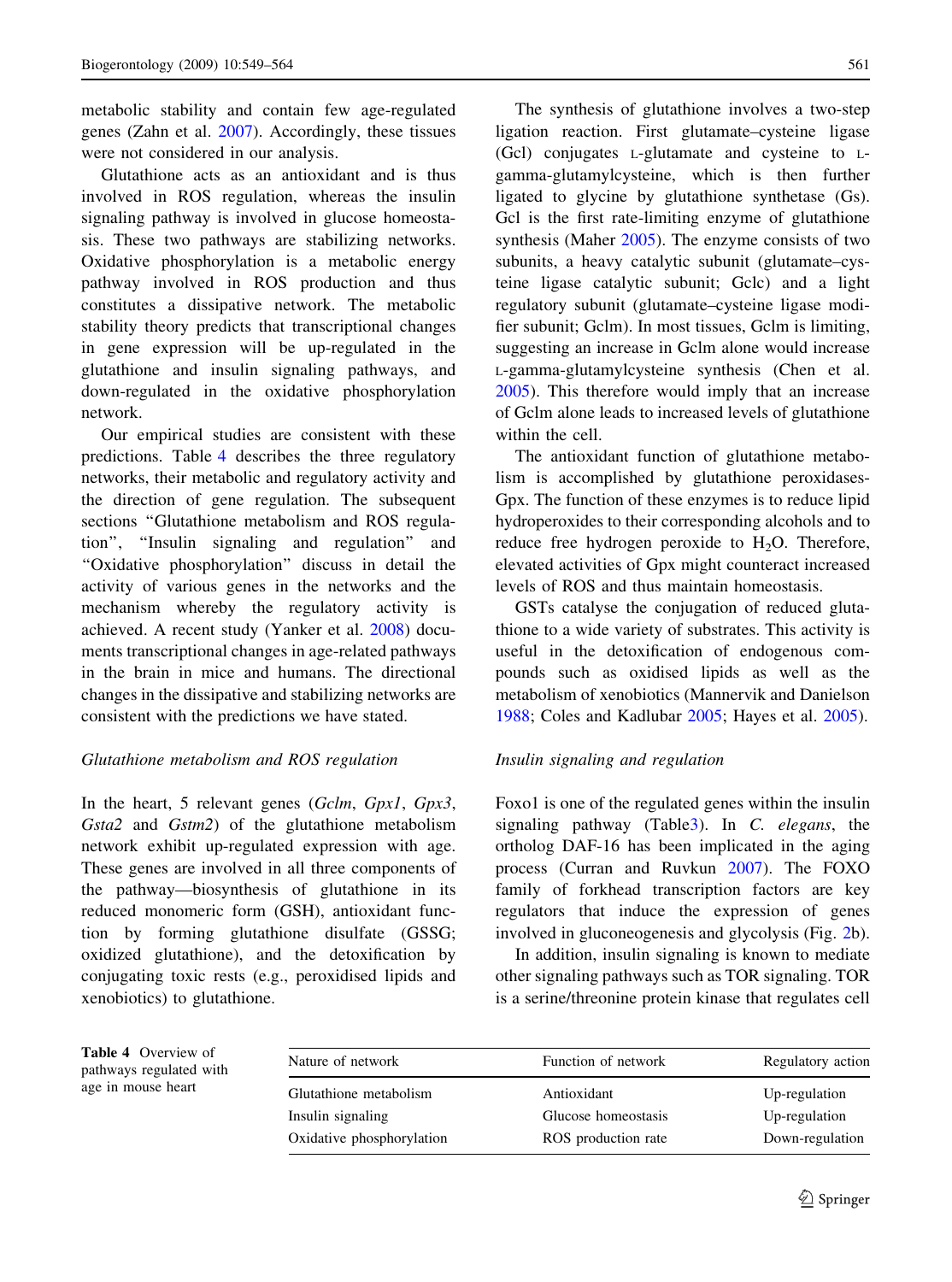metabolic stability and contain few age-regulated genes (Zahn et al. [2007](#page-15-0)). Accordingly, these tissues were not considered in our analysis.

Glutathione acts as an antioxidant and is thus involved in ROS regulation, whereas the insulin signaling pathway is involved in glucose homeostasis. These two pathways are stabilizing networks. Oxidative phosphorylation is a metabolic energy pathway involved in ROS production and thus constitutes a dissipative network. The metabolic stability theory predicts that transcriptional changes in gene expression will be up-regulated in the glutathione and insulin signaling pathways, and down-regulated in the oxidative phosphorylation network.

Our empirical studies are consistent with these predictions. Table 4 describes the three regulatory networks, their metabolic and regulatory activity and the direction of gene regulation. The subsequent sections "Glutathione metabolism and ROS regulation'', ''Insulin signaling and regulation'' and ''Oxidative phosphorylation'' discuss in detail the activity of various genes in the networks and the mechanism whereby the regulatory activity is achieved. A recent study (Yanker et al. [2008\)](#page-15-0) documents transcriptional changes in age-related pathways in the brain in mice and humans. The directional changes in the dissipative and stabilizing networks are consistent with the predictions we have stated.

# Glutathione metabolism and ROS regulation

In the heart, 5 relevant genes (Gclm, Gpx1, Gpx3, Gsta2 and Gstm2) of the glutathione metabolism network exhibit up-regulated expression with age. These genes are involved in all three components of the pathway—biosynthesis of glutathione in its reduced monomeric form (GSH), antioxidant function by forming glutathione disulfate (GSSG; oxidized glutathione), and the detoxification by conjugating toxic rests (e.g., peroxidised lipids and xenobiotics) to glutathione.

The synthesis of glutathione involves a two-step ligation reaction. First glutamate–cysteine ligase (Gcl) conjugates L-glutamate and cysteine to Lgamma-glutamylcysteine, which is then further ligated to glycine by glutathione synthetase (Gs). Gcl is the first rate-limiting enzyme of glutathione synthesis (Maher [2005](#page-15-0)). The enzyme consists of two subunits, a heavy catalytic subunit (glutamate–cysteine ligase catalytic subunit; Gclc) and a light regulatory subunit (glutamate–cysteine ligase modifier subunit; Gclm). In most tissues, Gclm is limiting, suggesting an increase in Gclm alone would increase L-gamma-glutamylcysteine synthesis (Chen et al. [2005\)](#page-14-0). This therefore would imply that an increase

within the cell. The antioxidant function of glutathione metabolism is accomplished by glutathione peroxidases-Gpx. The function of these enzymes is to reduce lipid hydroperoxides to their corresponding alcohols and to reduce free hydrogen peroxide to  $H_2O$ . Therefore, elevated activities of Gpx might counteract increased levels of ROS and thus maintain homeostasis.

of Gclm alone leads to increased levels of glutathione

GSTs catalyse the conjugation of reduced glutathione to a wide variety of substrates. This activity is useful in the detoxification of endogenous compounds such as oxidised lipids as well as the metabolism of xenobiotics (Mannervik and Danielson [1988;](#page-15-0) Coles and Kadlubar [2005](#page-15-0); Hayes et al. [2005](#page-15-0)).

# Insulin signaling and regulation

Foxo1 is one of the regulated genes within the insulin signaling pathway (Table[3\)](#page-8-0). In C. elegans, the ortholog DAF-16 has been implicated in the aging process (Curran and Ruvkun [2007\)](#page-15-0). The FOXO family of forkhead transcription factors are key regulators that induce the expression of genes involved in gluconeogenesis and glycolysis (Fig. [2](#page-8-0)b).

In addition, insulin signaling is known to mediate other signaling pathways such as TOR signaling. TOR is a serine/threonine protein kinase that regulates cell

| <b>Table 4</b> Overview of<br>pathways regulated with | Nature of network                                                                                                                                                                                                                                                                                                                                                                                                                                           |  |
|-------------------------------------------------------|-------------------------------------------------------------------------------------------------------------------------------------------------------------------------------------------------------------------------------------------------------------------------------------------------------------------------------------------------------------------------------------------------------------------------------------------------------------|--|
| age in mouse heart                                    | Glutathione metabolis                                                                                                                                                                                                                                                                                                                                                                                                                                       |  |
|                                                       | $\mathbf{T} = \mathbf{1}, \mathbf{2}, \mathbf{3}, \mathbf{4}, \mathbf{5}, \mathbf{6}, \mathbf{7}, \mathbf{8}, \mathbf{8}, \mathbf{9}, \mathbf{1}, \mathbf{1}, \mathbf{1}, \mathbf{1}, \mathbf{1}, \mathbf{1}, \mathbf{1}, \mathbf{1}, \mathbf{1}, \mathbf{1}, \mathbf{1}, \mathbf{1}, \mathbf{1}, \mathbf{1}, \mathbf{1}, \mathbf{1}, \mathbf{1}, \mathbf{1}, \mathbf{1}, \mathbf{1}, \mathbf{1}, \mathbf{1}, \mathbf{1}, \mathbf{1}, \mathbf{1}, \mathbf{$ |  |

| Nature of network         | Function of network | Regulatory action |
|---------------------------|---------------------|-------------------|
| Glutathione metabolism    | Antioxidant         | Up-regulation     |
| Insulin signaling         | Glucose homeostasis | Up-regulation     |
| Oxidative phosphorylation | ROS production rate | Down-regulation   |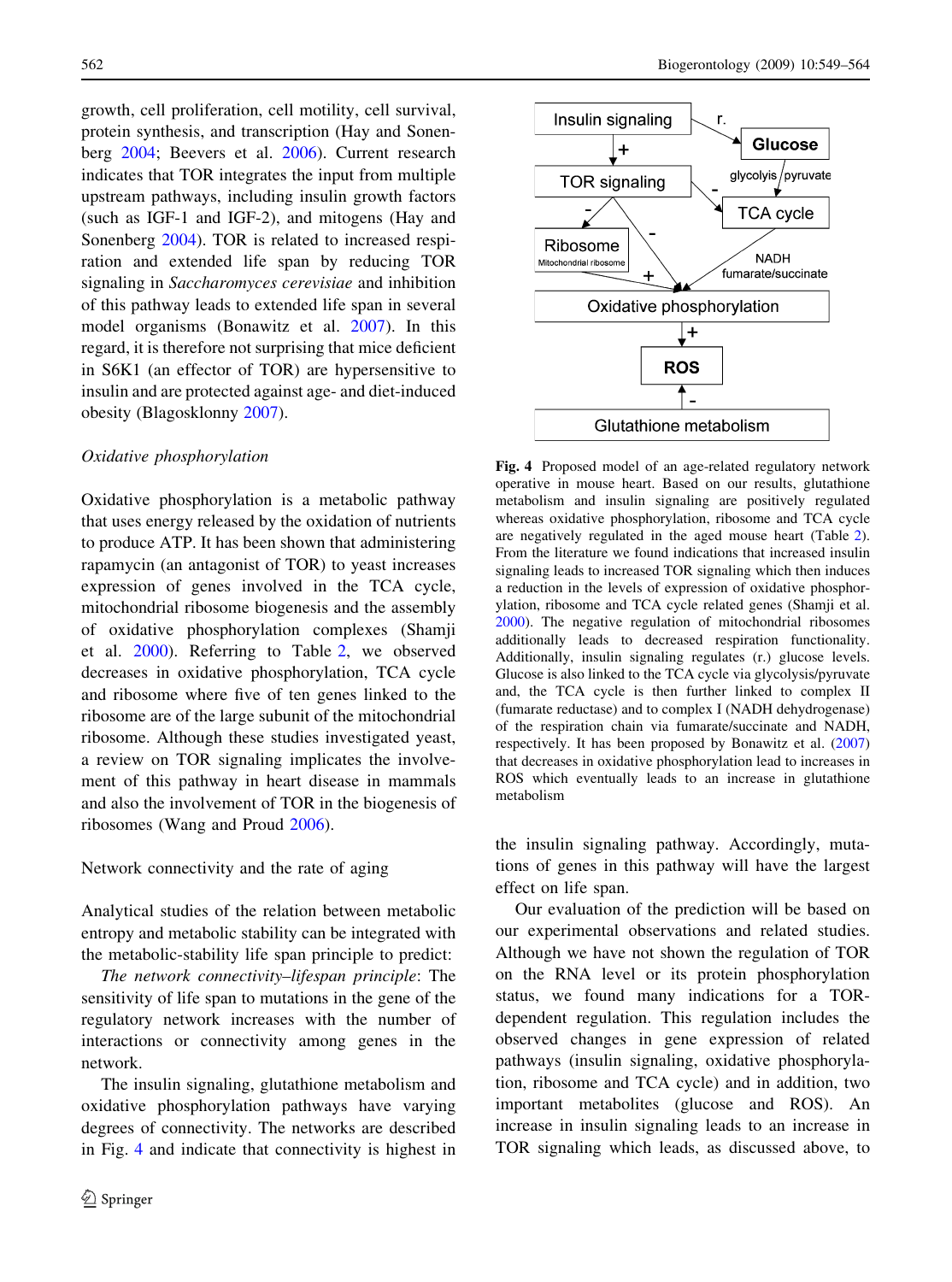growth, cell proliferation, cell motility, cell survival, protein synthesis, and transcription (Hay and Sonenberg [2004;](#page-15-0) Beevers et al. [2006](#page-14-0)). Current research indicates that TOR integrates the input from multiple upstream pathways, including insulin growth factors (such as IGF-1 and IGF-2), and mitogens (Hay and Sonenberg [2004\)](#page-15-0). TOR is related to increased respiration and extended life span by reducing TOR signaling in Saccharomyces cerevisiae and inhibition of this pathway leads to extended life span in several model organisms (Bonawitz et al. [2007\)](#page-14-0). In this regard, it is therefore not surprising that mice deficient in S6K1 (an effector of TOR) are hypersensitive to insulin and are protected against age- and diet-induced obesity (Blagosklonny [2007](#page-14-0)).

## Oxidative phosphorylation

Oxidative phosphorylation is a metabolic pathway that uses energy released by the oxidation of nutrients to produce ATP. It has been shown that administering rapamycin (an antagonist of TOR) to yeast increases expression of genes involved in the TCA cycle, mitochondrial ribosome biogenesis and the assembly of oxidative phosphorylation complexes (Shamji et al. [2000\)](#page-15-0). Referring to Table [2](#page-7-0), we observed decreases in oxidative phosphorylation, TCA cycle and ribosome where five of ten genes linked to the ribosome are of the large subunit of the mitochondrial ribosome. Although these studies investigated yeast, a review on TOR signaling implicates the involvement of this pathway in heart disease in mammals and also the involvement of TOR in the biogenesis of ribosomes (Wang and Proud [2006\)](#page-15-0).

Network connectivity and the rate of aging

Analytical studies of the relation between metabolic entropy and metabolic stability can be integrated with the metabolic-stability life span principle to predict:

The network connectivity–lifespan principle: The sensitivity of life span to mutations in the gene of the regulatory network increases with the number of interactions or connectivity among genes in the network.

The insulin signaling, glutathione metabolism and oxidative phosphorylation pathways have varying degrees of connectivity. The networks are described in Fig. 4 and indicate that connectivity is highest in



Fig. 4 Proposed model of an age-related regulatory network operative in mouse heart. Based on our results, glutathione metabolism and insulin signaling are positively regulated whereas oxidative phosphorylation, ribosome and TCA cycle are negatively regulated in the aged mouse heart (Table [2](#page-7-0)). From the literature we found indications that increased insulin signaling leads to increased TOR signaling which then induces a reduction in the levels of expression of oxidative phosphorylation, ribosome and TCA cycle related genes (Shamji et al. [2000\)](#page-15-0). The negative regulation of mitochondrial ribosomes additionally leads to decreased respiration functionality. Additionally, insulin signaling regulates (r.) glucose levels. Glucose is also linked to the TCA cycle via glycolysis/pyruvate and, the TCA cycle is then further linked to complex II (fumarate reductase) and to complex I (NADH dehydrogenase) of the respiration chain via fumarate/succinate and NADH, respectively. It has been proposed by Bonawitz et al. ([2007](#page-14-0)) that decreases in oxidative phosphorylation lead to increases in ROS which eventually leads to an increase in glutathione metabolism

the insulin signaling pathway. Accordingly, mutations of genes in this pathway will have the largest effect on life span.

Our evaluation of the prediction will be based on our experimental observations and related studies. Although we have not shown the regulation of TOR on the RNA level or its protein phosphorylation status, we found many indications for a TORdependent regulation. This regulation includes the observed changes in gene expression of related pathways (insulin signaling, oxidative phosphorylation, ribosome and TCA cycle) and in addition, two important metabolites (glucose and ROS). An increase in insulin signaling leads to an increase in TOR signaling which leads, as discussed above, to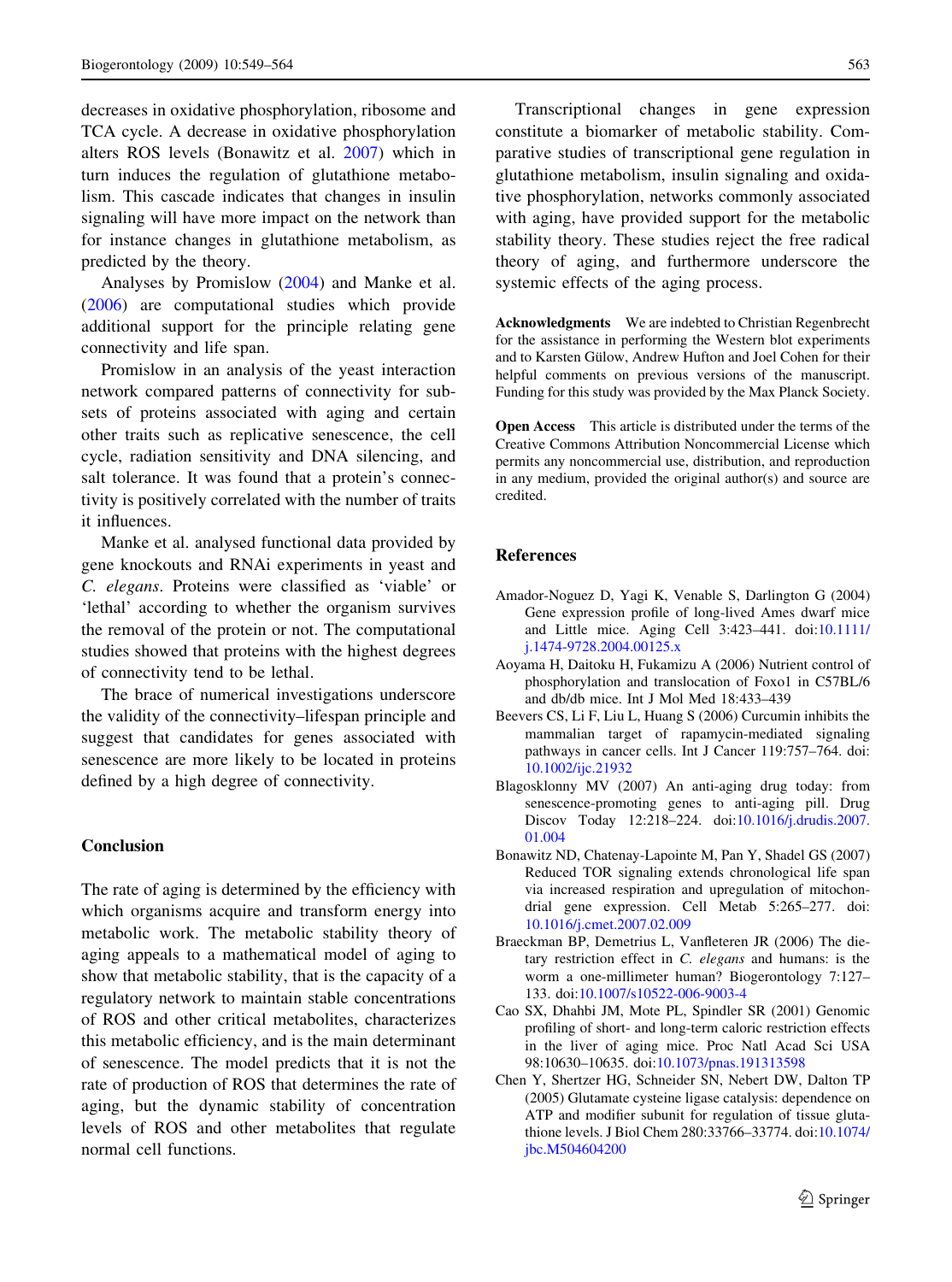<span id="page-14-0"></span>decreases in oxidative phosphorylation, ribosome and TCA cycle. A decrease in oxidative phosphorylation alters ROS levels (Bonawitz et al. 2007) which in turn induces the regulation of glutathione metabolism. This cascade indicates that changes in insulin signaling will have more impact on the network than for instance changes in glutathione metabolism, as predicted by the theory.

Analyses by Promislow [\(2004](#page-15-0)) and Manke et al. [\(2006](#page-15-0)) are computational studies which provide additional support for the principle relating gene connectivity and life span.

Promislow in an analysis of the yeast interaction network compared patterns of connectivity for subsets of proteins associated with aging and certain other traits such as replicative senescence, the cell cycle, radiation sensitivity and DNA silencing, and salt tolerance. It was found that a protein's connectivity is positively correlated with the number of traits it influences.

Manke et al. analysed functional data provided by gene knockouts and RNAi experiments in yeast and C. elegans. Proteins were classified as 'viable' or 'lethal' according to whether the organism survives the removal of the protein or not. The computational studies showed that proteins with the highest degrees of connectivity tend to be lethal.

The brace of numerical investigations underscore the validity of the connectivity–lifespan principle and suggest that candidates for genes associated with senescence are more likely to be located in proteins defined by a high degree of connectivity.

# Conclusion

The rate of aging is determined by the efficiency with which organisms acquire and transform energy into metabolic work. The metabolic stability theory of aging appeals to a mathematical model of aging to show that metabolic stability, that is the capacity of a regulatory network to maintain stable concentrations of ROS and other critical metabolites, characterizes this metabolic efficiency, and is the main determinant of senescence. The model predicts that it is not the rate of production of ROS that determines the rate of aging, but the dynamic stability of concentration levels of ROS and other metabolites that regulate normal cell functions.

Transcriptional changes in gene expression constitute a biomarker of metabolic stability. Comparative studies of transcriptional gene regulation in glutathione metabolism, insulin signaling and oxidative phosphorylation, networks commonly associated with aging, have provided support for the metabolic stability theory. These studies reject the free radical theory of aging, and furthermore underscore the systemic effects of the aging process.

Acknowledgments We are indebted to Christian Regenbrecht for the assistance in performing the Western blot experiments and to Karsten Gülow, Andrew Hufton and Joel Cohen for their helpful comments on previous versions of the manuscript. Funding for this study was provided by the Max Planck Society.

Open Access This article is distributed under the terms of the Creative Commons Attribution Noncommercial License which permits any noncommercial use, distribution, and reproduction in any medium, provided the original author(s) and source are credited.

## References

- Amador-Noguez D, Yagi K, Venable S, Darlington G (2004) Gene expression profile of long-lived Ames dwarf mice and Little mice. Aging Cell 3:423–441. doi[:10.1111/](http://dx.doi.org/10.1111/j.1474-9728.2004.00125.x) [j.1474-9728.2004.00125.x](http://dx.doi.org/10.1111/j.1474-9728.2004.00125.x)
- Aoyama H, Daitoku H, Fukamizu A (2006) Nutrient control of phosphorylation and translocation of Foxo1 in C57BL/6 and db/db mice. Int J Mol Med 18:433–439
- Beevers CS, Li F, Liu L, Huang S (2006) Curcumin inhibits the mammalian target of rapamycin-mediated signaling pathways in cancer cells. Int J Cancer 119:757–764. doi: [10.1002/ijc.21932](http://dx.doi.org/10.1002/ijc.21932)
- Blagosklonny MV (2007) An anti-aging drug today: from senescence-promoting genes to anti-aging pill. Drug Discov Today 12:218–224. doi:[10.1016/j.drudis.2007.](http://dx.doi.org/10.1016/j.drudis.2007.01.004) [01.004](http://dx.doi.org/10.1016/j.drudis.2007.01.004)
- Bonawitz ND, Chatenay-Lapointe M, Pan Y, Shadel GS (2007) Reduced TOR signaling extends chronological life span via increased respiration and upregulation of mitochondrial gene expression. Cell Metab 5:265–277. doi: [10.1016/j.cmet.2007.02.009](http://dx.doi.org/10.1016/j.cmet.2007.02.009)
- Braeckman BP, Demetrius L, Vanfleteren JR (2006) The dietary restriction effect in C. elegans and humans: is the worm a one-millimeter human? Biogerontology 7:127– 133. doi:[10.1007/s10522-006-9003-4](http://dx.doi.org/10.1007/s10522-006-9003-4)
- Cao SX, Dhahbi JM, Mote PL, Spindler SR (2001) Genomic profiling of short- and long-term caloric restriction effects in the liver of aging mice. Proc Natl Acad Sci USA 98:10630–10635. doi:[10.1073/pnas.191313598](http://dx.doi.org/10.1073/pnas.191313598)
- Chen Y, Shertzer HG, Schneider SN, Nebert DW, Dalton TP (2005) Glutamate cysteine ligase catalysis: dependence on ATP and modifier subunit for regulation of tissue glutathione levels. J Biol Chem 280:33766–33774. doi[:10.1074/](http://dx.doi.org/10.1074/jbc.M504604200) [jbc.M504604200](http://dx.doi.org/10.1074/jbc.M504604200)